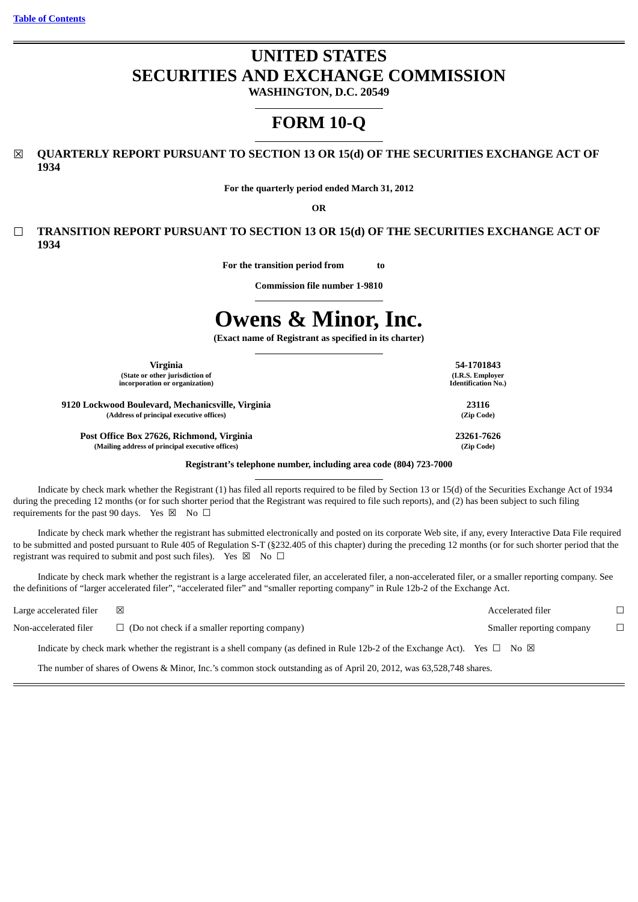# **UNITED STATES SECURITIES AND EXCHANGE COMMISSION**

**WASHINGTON, D.C. 20549**

# **FORM 10-Q**

☒ **QUARTERLY REPORT PURSUANT TO SECTION 13 OR 15(d) OF THE SECURITIES EXCHANGE ACT OF 1934**

**For the quarterly period ended March 31, 2012**

**OR**

☐ **TRANSITION REPORT PURSUANT TO SECTION 13 OR 15(d) OF THE SECURITIES EXCHANGE ACT OF 1934**

**For the transition period from to** 

**Commission file number 1-9810**

# **Owens & Minor, Inc.**

**(Exact name of Registrant as specified in its charter)**

**Virginia 54-1701843 (State or other jurisdiction of incorporation or organization)**

**9120 Lockwood Boulevard, Mechanicsville, Virginia 23116 (Address of principal executive offices) (Zip Code)**

**Post Office Box 27626, Richmond, Virginia 23261-7626 (Mailing address of principal executive offices) (Zip Code)**

**(I.R.S. Employer Identification No.)**

**Registrant's telephone number, including area code (804) 723-7000**

Indicate by check mark whether the Registrant (1) has filed all reports required to be filed by Section 13 or 15(d) of the Securities Exchange Act of 1934 during the preceding 12 months (or for such shorter period that the Registrant was required to file such reports), and (2) has been subject to such filing requirements for the past 90 days. Yes  $\boxtimes$  No  $\Box$ 

Indicate by check mark whether the registrant has submitted electronically and posted on its corporate Web site, if any, every Interactive Data File required to be submitted and posted pursuant to Rule 405 of Regulation S-T (§232.405 of this chapter) during the preceding 12 months (or for such shorter period that the registrant was required to submit and post such files). Yes  $\boxtimes$  No  $\Box$ 

Indicate by check mark whether the registrant is a large accelerated filer, an accelerated filer, a non-accelerated filer, or a smaller reporting company. See the definitions of "larger accelerated filer", "accelerated filer" and "smaller reporting company" in Rule 12b-2 of the Exchange Act.

Large accelerated filer  $□$   $□$ 

Non-accelerated filer □ (Do not check if a smaller reporting company) Smaller reporting company □ Indicate by check mark whether the registrant is a shell company (as defined in Rule 12b-2 of the Exchange Act). Yes  $\Box$  No  $\boxtimes$ 

The number of shares of Owens & Minor, Inc.'s common stock outstanding as of April 20, 2012, was 63,528,748 shares.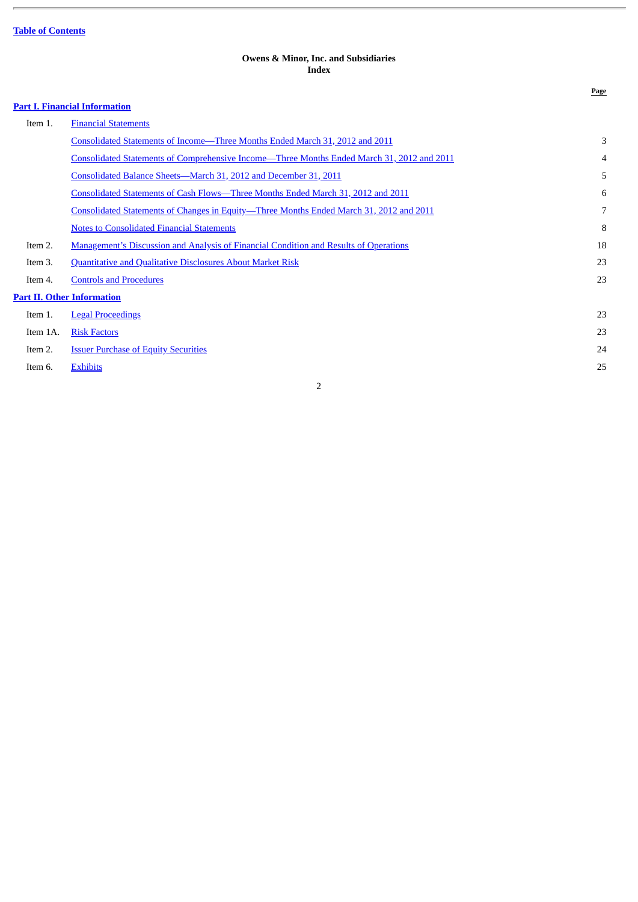### **Owens & Minor, Inc. and Subsidiaries Index**

### **[Part I. Financial Information](#page-2-0)**

| Item 1.  | <b>Financial Statements</b>                                                                  |                |
|----------|----------------------------------------------------------------------------------------------|----------------|
|          | Consolidated Statements of Income—Three Months Ended March 31, 2012 and 2011                 | 3              |
|          | Consolidated Statements of Comprehensive Income—Three Months Ended March 31, 2012 and 2011   | 4              |
|          | Consolidated Balance Sheets-March 31, 2012 and December 31, 2011                             | 5              |
|          | Consolidated Statements of Cash Flows—Three Months Ended March 31, 2012 and 2011             | 6              |
|          | Consolidated Statements of Changes in Equity—Three Months Ended March 31, 2012 and 2011      | $\overline{7}$ |
|          | <b>Notes to Consolidated Financial Statements</b>                                            | 8              |
| Item 2.  | <b>Management's Discussion and Analysis of Financial Condition and Results of Operations</b> | 18             |
| Item 3.  | <b>Quantitative and Qualitative Disclosures About Market Risk</b>                            | 23             |
| Item 4.  | <b>Controls and Procedures</b>                                                               | 23             |
|          | <b>Part II. Other Information</b>                                                            |                |
| Item 1.  | <b>Legal Proceedings</b>                                                                     | 23             |
| Item 1A. | <b>Risk Factors</b>                                                                          | 23             |
| Item 2.  | <b>Issuer Purchase of Equity Securities</b>                                                  | 24             |
| Item 6.  | <b>Exhibits</b>                                                                              | 25             |
|          |                                                                                              |                |

### 2

<span id="page-1-0"></span>**Page**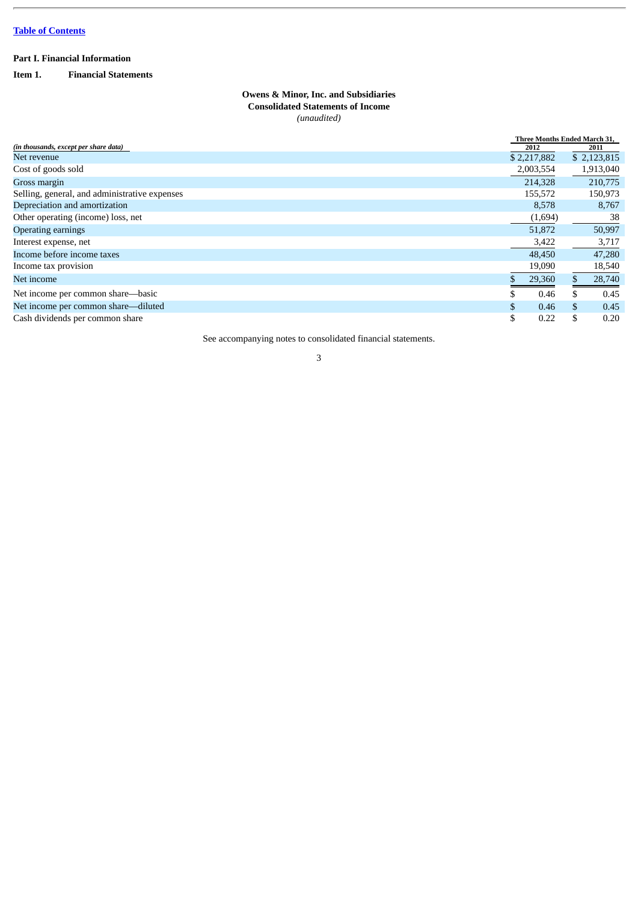### <span id="page-2-0"></span>**Part I. Financial Information**

<span id="page-2-2"></span><span id="page-2-1"></span>**Item 1. Financial Statements**

### **Owens & Minor, Inc. and Subsidiaries Consolidated Statements of Income** *(unaudited)*

|                                               |   | Three Months Ended March 31, |    |             |
|-----------------------------------------------|---|------------------------------|----|-------------|
| (in thousands, except per share data)         |   | 2012                         |    | 2011        |
| Net revenue                                   |   | \$2,217,882                  |    | \$2,123,815 |
| Cost of goods sold                            |   | 2,003,554                    |    | 1,913,040   |
| Gross margin                                  |   | 214,328                      |    | 210,775     |
| Selling, general, and administrative expenses |   | 155,572                      |    | 150,973     |
| Depreciation and amortization                 |   | 8,578                        |    | 8,767       |
| Other operating (income) loss, net            |   | (1,694)                      |    | 38          |
| <b>Operating earnings</b>                     |   | 51,872                       |    | 50,997      |
| Interest expense, net                         |   | 3,422                        |    | 3,717       |
| Income before income taxes                    |   | 48,450                       |    | 47,280      |
| Income tax provision                          |   | 19,090                       |    | 18,540      |
| Net income                                    |   | 29,360                       |    | 28,740      |
| Net income per common share—basic             |   | 0.46                         |    | 0.45        |
| Net income per common share-diluted           |   | 0.46                         | S. | 0.45        |
| Cash dividends per common share               | S | 0.22                         | S. | 0.20        |

See accompanying notes to consolidated financial statements.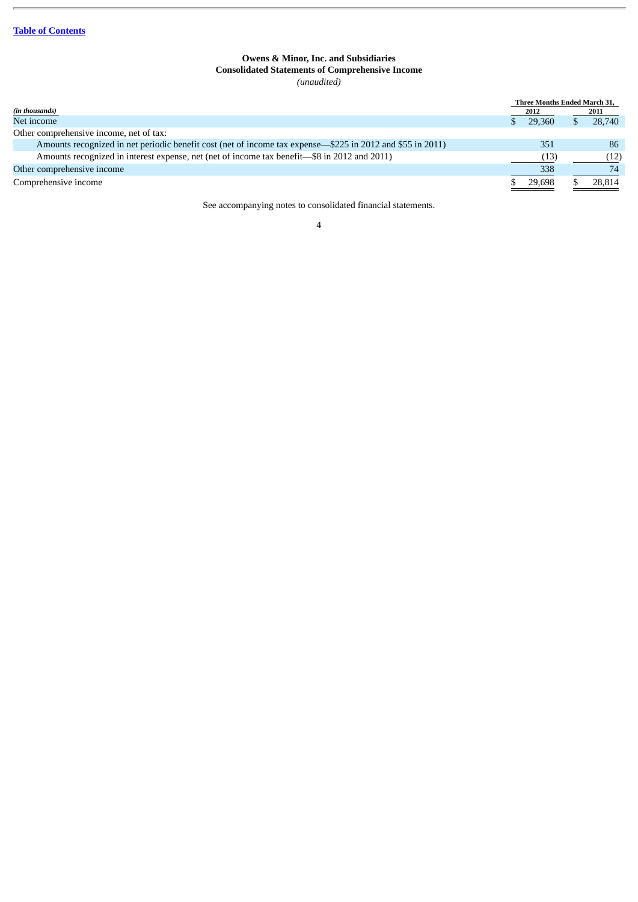## **Owens & Minor, Inc. and Subsidiaries**

**Consolidated Statements of Comprehensive Income**

*(unaudited)*

<span id="page-3-0"></span>

|                                                                                                            | Three Months Ended March 31, |        |
|------------------------------------------------------------------------------------------------------------|------------------------------|--------|
| (in thousands)                                                                                             | 2012                         | 2011   |
| Net income                                                                                                 | 29.360                       | 28,740 |
| Other comprehensive income, net of tax:                                                                    |                              |        |
| Amounts recognized in net periodic benefit cost (net of income tax expense—\$225 in 2012 and \$55 in 2011) | 351                          | 86     |
| Amounts recognized in interest expense, net (net of income tax benefit—\$8 in 2012 and 2011)               | (13)                         | (12)   |
| Other comprehensive income                                                                                 | 338                          | 74     |
| Comprehensive income                                                                                       | 29,698                       | 28.814 |

See accompanying notes to consolidated financial statements.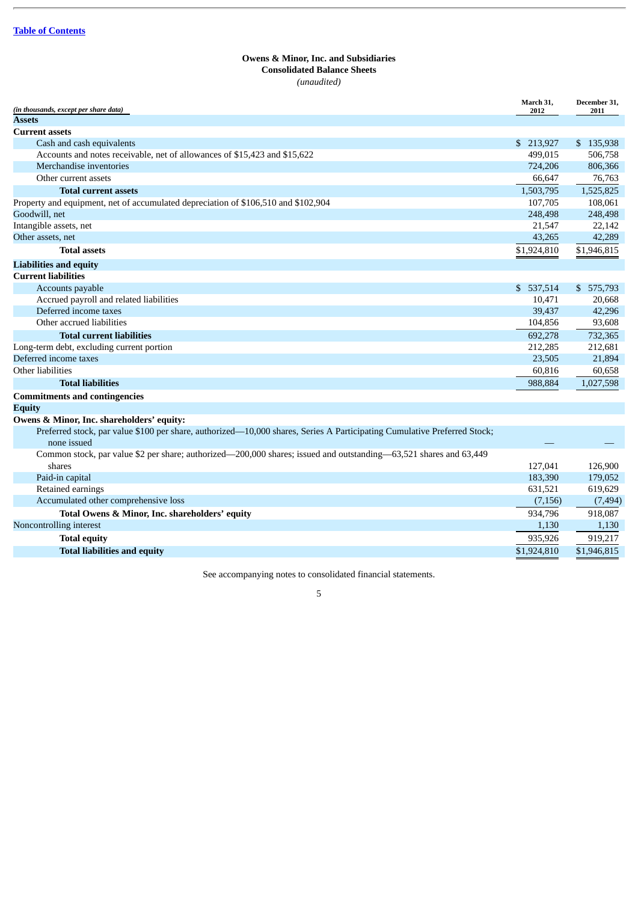### **Owens & Minor, Inc. and Subsidiaries Consolidated Balance Sheets**

*(unaudited)*

<span id="page-4-0"></span>

| (in thousands, except per share data)                                                                                                   | March 31,<br>2012       | December 31,<br>2011 |
|-----------------------------------------------------------------------------------------------------------------------------------------|-------------------------|----------------------|
| <b>Assets</b>                                                                                                                           |                         |                      |
| <b>Current assets</b>                                                                                                                   |                         |                      |
| Cash and cash equivalents                                                                                                               | \$ 213,927              | \$135,938            |
| Accounts and notes receivable, net of allowances of \$15,423 and \$15,622                                                               | 499,015                 | 506,758              |
| Merchandise inventories                                                                                                                 | 724,206                 | 806,366              |
| Other current assets                                                                                                                    | 66,647                  | 76,763               |
| <b>Total current assets</b>                                                                                                             | 1,503,795               | 1,525,825            |
| Property and equipment, net of accumulated depreciation of \$106,510 and \$102,904                                                      | 107,705                 | 108,061              |
| Goodwill, net                                                                                                                           | 248,498                 | 248,498              |
| Intangible assets, net                                                                                                                  | 21,547                  | 22,142               |
| Other assets, net                                                                                                                       | 43,265                  | 42,289               |
| <b>Total assets</b>                                                                                                                     | \$1,924,810             | \$1,946,815          |
| <b>Liabilities and equity</b>                                                                                                           |                         |                      |
| <b>Current liabilities</b>                                                                                                              |                         |                      |
| Accounts payable                                                                                                                        | $\mathbb{S}$<br>537,514 | \$ 575,793           |
| Accrued payroll and related liabilities                                                                                                 | 10,471                  | 20,668               |
| Deferred income taxes                                                                                                                   | 39,437                  | 42,296               |
| Other accrued liabilities                                                                                                               | 104,856                 | 93,608               |
| <b>Total current liabilities</b>                                                                                                        | 692,278                 | 732,365              |
| Long-term debt, excluding current portion                                                                                               | 212,285                 | 212.681              |
| Deferred income taxes                                                                                                                   | 23,505                  | 21,894               |
| Other liabilities                                                                                                                       | 60,816                  | 60,658               |
| <b>Total liabilities</b>                                                                                                                | 988,884                 | 1,027,598            |
| <b>Commitments and contingencies</b>                                                                                                    |                         |                      |
| Equity                                                                                                                                  |                         |                      |
| Owens & Minor, Inc. shareholders' equity:                                                                                               |                         |                      |
| Preferred stock, par value \$100 per share, authorized-10,000 shares, Series A Participating Cumulative Preferred Stock;<br>none issued |                         |                      |
| Common stock, par value \$2 per share; authorized—200,000 shares; issued and outstanding—63,521 shares and 63,449                       |                         |                      |
| shares                                                                                                                                  | 127,041                 | 126,900              |
| Paid-in capital                                                                                                                         | 183,390                 | 179,052              |
| Retained earnings                                                                                                                       | 631,521                 | 619,629              |
| Accumulated other comprehensive loss                                                                                                    | (7, 156)                | (7, 494)             |
| Total Owens & Minor, Inc. shareholders' equity                                                                                          | 934,796                 | 918,087              |
| Noncontrolling interest                                                                                                                 | 1,130                   | 1,130                |
| <b>Total equity</b>                                                                                                                     | 935,926                 | 919,217              |
| <b>Total liabilities and equity</b>                                                                                                     | \$1,924,810             | \$1,946,815          |

See accompanying notes to consolidated financial statements. 5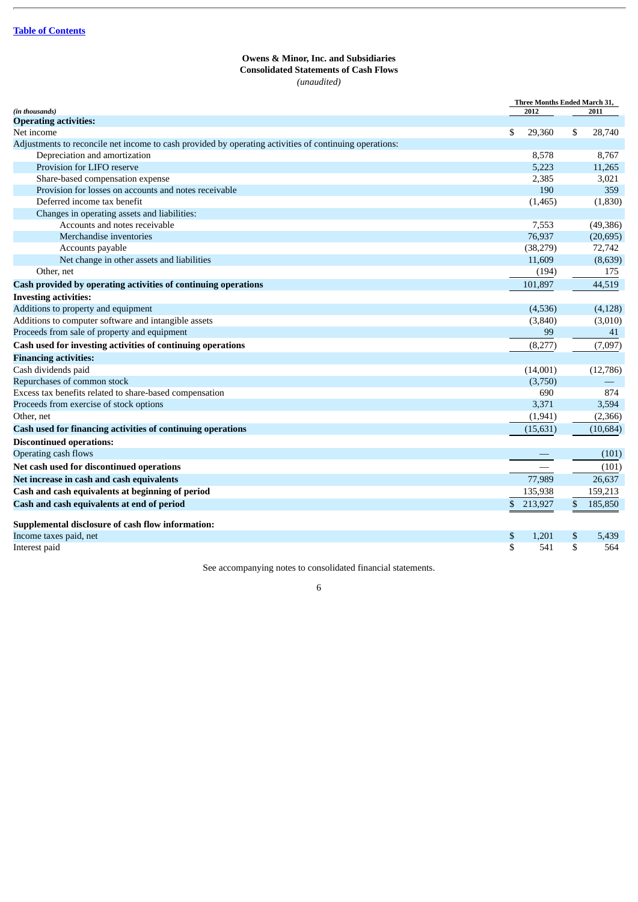### **Owens & Minor, Inc. and Subsidiaries Consolidated Statements of Cash Flows**

*(unaudited)*

<span id="page-5-0"></span>

|                                                                                                                                         |    |                 | Three Months Ended March 31, |  |
|-----------------------------------------------------------------------------------------------------------------------------------------|----|-----------------|------------------------------|--|
| (in thousands)                                                                                                                          |    | 2012            | 2011                         |  |
| <b>Operating activities:</b>                                                                                                            |    |                 |                              |  |
| Net income                                                                                                                              | \$ | 29,360          | \$<br>28,740                 |  |
| Adjustments to reconcile net income to cash provided by operating activities of continuing operations:<br>Depreciation and amortization |    | 8,578           | 8,767                        |  |
| Provision for LIFO reserve                                                                                                              |    | 5,223           | 11,265                       |  |
| Share-based compensation expense                                                                                                        |    | 2,385           | 3,021                        |  |
| Provision for losses on accounts and notes receivable                                                                                   |    | 190             | 359                          |  |
| Deferred income tax benefit                                                                                                             |    | (1,465)         | (1,830)                      |  |
| Changes in operating assets and liabilities:                                                                                            |    |                 |                              |  |
| Accounts and notes receivable                                                                                                           |    | 7,553           | (49, 386)                    |  |
| Merchandise inventories                                                                                                                 |    | 76,937          | (20, 695)                    |  |
| Accounts payable                                                                                                                        |    | (38, 279)       | 72,742                       |  |
| Net change in other assets and liabilities                                                                                              |    | 11,609          | (8,639)                      |  |
| Other, net                                                                                                                              |    | (194)           | 175                          |  |
| Cash provided by operating activities of continuing operations                                                                          |    | 101,897         | 44,519                       |  |
| <b>Investing activities:</b>                                                                                                            |    |                 |                              |  |
| Additions to property and equipment                                                                                                     |    | (4,536)         | (4, 128)                     |  |
| Additions to computer software and intangible assets                                                                                    |    | (3, 840)        | (3,010)                      |  |
| Proceeds from sale of property and equipment                                                                                            |    | 99              | 41                           |  |
| Cash used for investing activities of continuing operations                                                                             |    | (8,277)         | (7,097)                      |  |
| <b>Financing activities:</b>                                                                                                            |    |                 |                              |  |
| Cash dividends paid                                                                                                                     |    | (14,001)        | (12,786)                     |  |
| Repurchases of common stock                                                                                                             |    | (3,750)         |                              |  |
| Excess tax benefits related to share-based compensation                                                                                 |    | 690             | 874                          |  |
| Proceeds from exercise of stock options                                                                                                 |    | 3,371           | 3,594                        |  |
| Other, net                                                                                                                              |    | (1, 941)        | (2,366)                      |  |
| Cash used for financing activities of continuing operations                                                                             |    | (15, 631)       | (10, 684)                    |  |
| <b>Discontinued operations:</b>                                                                                                         |    |                 |                              |  |
| Operating cash flows                                                                                                                    |    |                 | (101)                        |  |
| Net cash used for discontinued operations                                                                                               |    | $\qquad \qquad$ | (101)                        |  |
| Net increase in cash and cash equivalents                                                                                               |    | 77,989          | 26,637                       |  |
| Cash and cash equivalents at beginning of period                                                                                        |    | 135,938         | 159,213                      |  |
| Cash and cash equivalents at end of period                                                                                              | \$ | 213,927         | \$<br>185,850                |  |
|                                                                                                                                         |    |                 |                              |  |
| Supplemental disclosure of cash flow information:                                                                                       |    |                 |                              |  |
| Income taxes paid, net                                                                                                                  | \$ | 1,201           | \$<br>5,439                  |  |
| Interest paid                                                                                                                           | \$ | 541             | \$<br>564                    |  |

See accompanying notes to consolidated financial statements.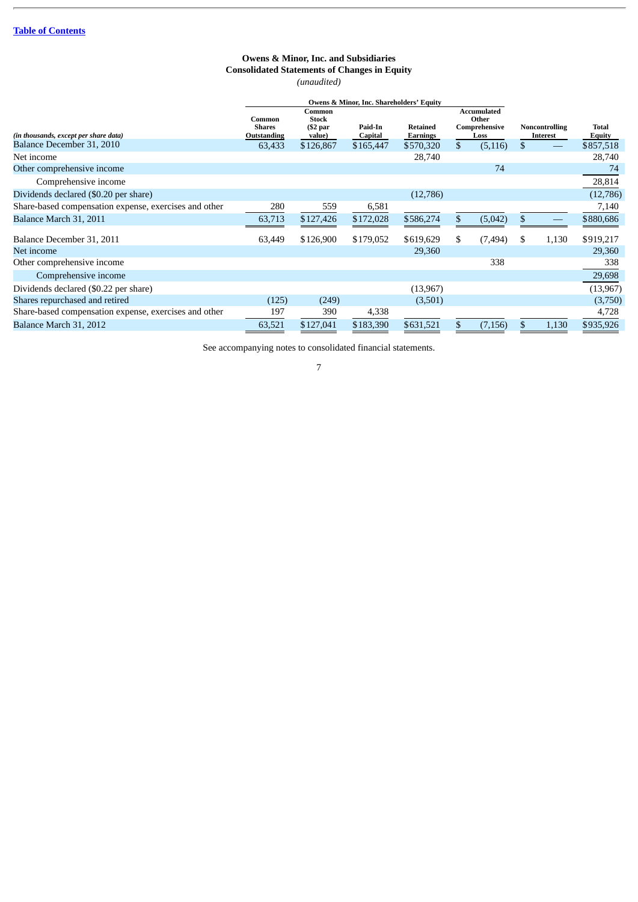### **Owens & Minor, Inc. and Subsidiaries Consolidated Statements of Changes in Equity**

*(unaudited)*

<span id="page-6-0"></span>

|                                                       | Owens & Minor, Inc. Shareholders' Equity |                        |           |                 |    |                      |    |                       |              |
|-------------------------------------------------------|------------------------------------------|------------------------|-----------|-----------------|----|----------------------|----|-----------------------|--------------|
|                                                       | Common                                   | Common<br><b>Stock</b> |           |                 |    | Accumulated<br>Other |    |                       |              |
|                                                       | <b>Shares</b>                            | $$2\,\text{par}$       | Paid-In   | <b>Retained</b> |    | Comprehensive        |    | <b>Noncontrolling</b> | <b>Total</b> |
| (in thousands, except per share data)                 | Outstanding                              | value)                 | Capital   | <b>Earnings</b> |    | Loss                 |    | <b>Interest</b>       | Equity       |
| Balance December 31, 2010                             | 63,433                                   | \$126,867              | \$165,447 | \$570,320       | \$ | (5, 116)             | \$ |                       | \$857,518    |
| Net income                                            |                                          |                        |           | 28,740          |    |                      |    |                       | 28,740       |
| Other comprehensive income                            |                                          |                        |           |                 |    | 74                   |    |                       | 74           |
| Comprehensive income                                  |                                          |                        |           |                 |    |                      |    |                       | 28,814       |
| Dividends declared (\$0.20 per share)                 |                                          |                        |           | (12,786)        |    |                      |    |                       | (12,786)     |
| Share-based compensation expense, exercises and other | 280                                      | 559                    | 6,581     |                 |    |                      |    |                       | 7,140        |
| Balance March 31, 2011                                | 63,713                                   | \$127,426              | \$172,028 | \$586,274       | \$ | (5,042)              | S  |                       | \$880,686    |
| Balance December 31, 2011                             | 63,449                                   | \$126,900              | \$179,052 | \$619,629       | \$ | (7, 494)             | S  | 1,130                 | \$919,217    |
| Net income                                            |                                          |                        |           | 29,360          |    |                      |    |                       | 29,360       |
| Other comprehensive income                            |                                          |                        |           |                 |    | 338                  |    |                       | 338          |
| Comprehensive income                                  |                                          |                        |           |                 |    |                      |    |                       | 29,698       |
| Dividends declared (\$0.22 per share)                 |                                          |                        |           | (13,967)        |    |                      |    |                       | (13,967)     |
| Shares repurchased and retired                        | (125)                                    | (249)                  |           | (3,501)         |    |                      |    |                       | (3,750)      |
| Share-based compensation expense, exercises and other | 197                                      | 390                    | 4,338     |                 |    |                      |    |                       | 4,728        |
| Balance March 31, 2012                                | 63,521                                   | \$127,041              | \$183,390 | \$631,521       | \$ | (7, 156)             | \$ | 1,130                 | \$935,926    |

See accompanying notes to consolidated financial statements.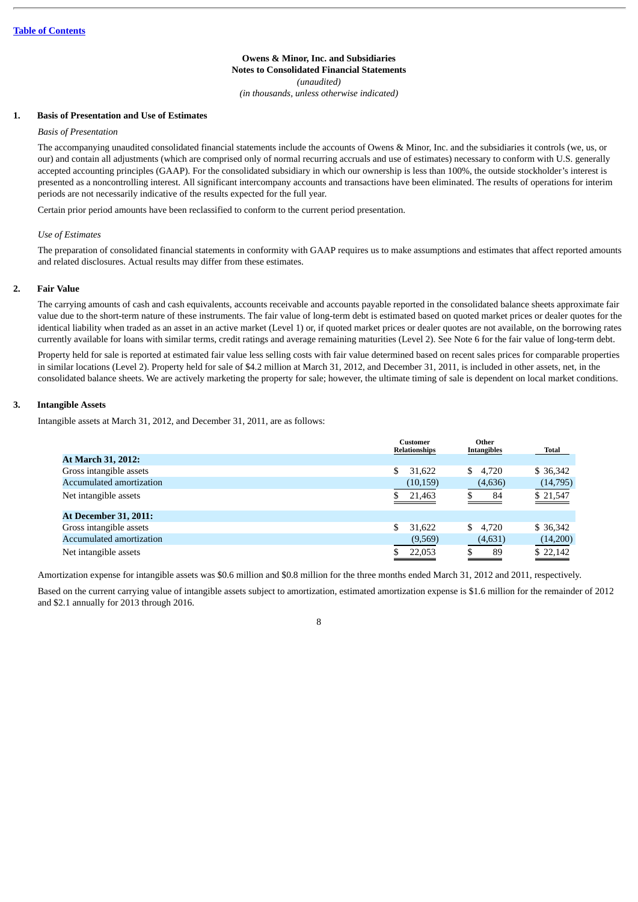**Owens & Minor, Inc. and Subsidiaries Notes to Consolidated Financial Statements** *(unaudited) (in thousands, unless otherwise indicated)*

#### <span id="page-7-0"></span>**1. Basis of Presentation and Use of Estimates**

#### *Basis of Presentation*

The accompanying unaudited consolidated financial statements include the accounts of Owens & Minor, Inc. and the subsidiaries it controls (we, us, or our) and contain all adjustments (which are comprised only of normal recurring accruals and use of estimates) necessary to conform with U.S. generally accepted accounting principles (GAAP). For the consolidated subsidiary in which our ownership is less than 100%, the outside stockholder's interest is presented as a noncontrolling interest. All significant intercompany accounts and transactions have been eliminated. The results of operations for interim periods are not necessarily indicative of the results expected for the full year.

Certain prior period amounts have been reclassified to conform to the current period presentation.

#### *Use of Estimates*

The preparation of consolidated financial statements in conformity with GAAP requires us to make assumptions and estimates that affect reported amounts and related disclosures. Actual results may differ from these estimates.

#### **2. Fair Value**

The carrying amounts of cash and cash equivalents, accounts receivable and accounts payable reported in the consolidated balance sheets approximate fair value due to the short-term nature of these instruments. The fair value of long-term debt is estimated based on quoted market prices or dealer quotes for the identical liability when traded as an asset in an active market (Level 1) or, if quoted market prices or dealer quotes are not available, on the borrowing rates currently available for loans with similar terms, credit ratings and average remaining maturities (Level 2). See Note 6 for the fair value of long-term debt.

Property held for sale is reported at estimated fair value less selling costs with fair value determined based on recent sales prices for comparable properties in similar locations (Level 2). Property held for sale of \$4.2 million at March 31, 2012, and December 31, 2011, is included in other assets, net, in the consolidated balance sheets. We are actively marketing the property for sale; however, the ultimate timing of sale is dependent on local market conditions.

### **3. Intangible Assets**

Intangible assets at March 31, 2012, and December 31, 2011, are as follows:

|                              | Customer<br><b>Relationships</b> | Other<br><b>Intangibles</b> | Total     |
|------------------------------|----------------------------------|-----------------------------|-----------|
| <b>At March 31, 2012:</b>    |                                  |                             |           |
| Gross intangible assets      | \$<br>31.622                     | \$<br>4.720                 | \$36,342  |
| Accumulated amortization     | (10, 159)                        | (4,636)                     | (14,795)  |
| Net intangible assets        | 21,463                           | 84                          | \$ 21,547 |
| <b>At December 31, 2011:</b> |                                  |                             |           |
| Gross intangible assets      | \$<br>31,622                     | \$<br>4.720                 | \$36,342  |
| Accumulated amortization     | (9,569)                          | (4,631)                     | (14,200)  |
| Net intangible assets        | 22,053                           | -89                         | \$22,142  |

Amortization expense for intangible assets was \$0.6 million and \$0.8 million for the three months ended March 31, 2012 and 2011, respectively.

Based on the current carrying value of intangible assets subject to amortization, estimated amortization expense is \$1.6 million for the remainder of 2012 and \$2.1 annually for 2013 through 2016.

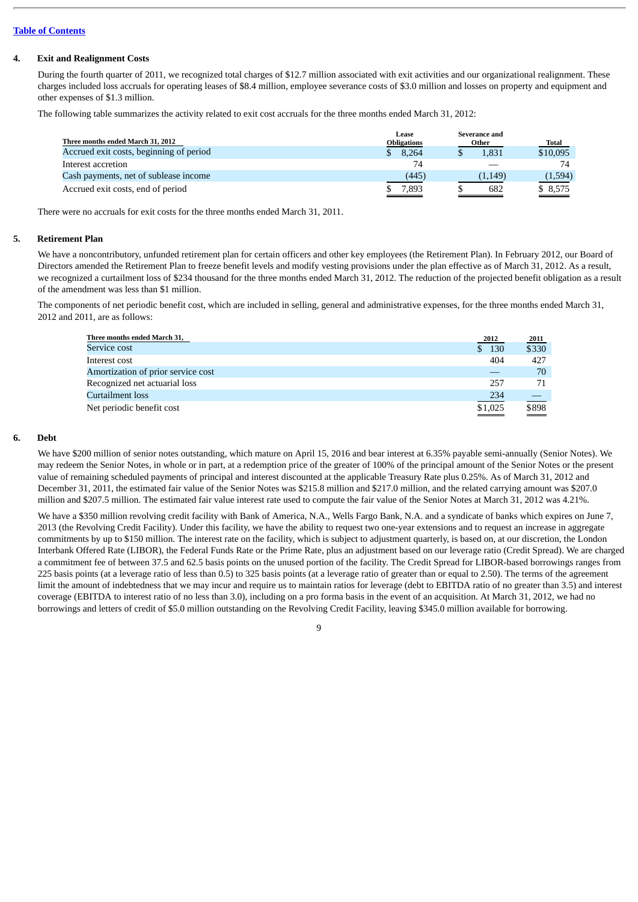#### **4. Exit and Realignment Costs**

During the fourth quarter of 2011, we recognized total charges of \$12.7 million associated with exit activities and our organizational realignment. These charges included loss accruals for operating leases of \$8.4 million, employee severance costs of \$3.0 million and losses on property and equipment and other expenses of \$1.3 million.

The following table summarizes the activity related to exit cost accruals for the three months ended March 31, 2012:

| Three months ended March 31, 2012       | Lease<br><b>Obligations</b> | <b>Severance and</b><br>Other | <b>Total</b>        |
|-----------------------------------------|-----------------------------|-------------------------------|---------------------|
| Accrued exit costs, beginning of period | \$8.264                     | 1.831                         | \$10,095            |
| Interest accretion                      | 74                          |                               |                     |
| Cash payments, net of sublease income   | (445)                       | (1, 149)                      | (1,594)             |
| Accrued exit costs, end of period       | 4.893                       | 682                           | \$ 8,575<br>_______ |

There were no accruals for exit costs for the three months ended March 31, 2011.

#### **5. Retirement Plan**

We have a noncontributory, unfunded retirement plan for certain officers and other key employees (the Retirement Plan). In February 2012, our Board of Directors amended the Retirement Plan to freeze benefit levels and modify vesting provisions under the plan effective as of March 31, 2012. As a result, we recognized a curtailment loss of \$234 thousand for the three months ended March 31, 2012. The reduction of the projected benefit obligation as a result of the amendment was less than \$1 million.

The components of net periodic benefit cost, which are included in selling, general and administrative expenses, for the three months ended March 31, 2012 and 2011, are as follows:

| Three months ended March 31,       | 2012                                                                                                                            |                      |
|------------------------------------|---------------------------------------------------------------------------------------------------------------------------------|----------------------|
| Service cost                       | \$130                                                                                                                           | $\frac{2011}{\$330}$ |
| Interest cost                      | 404                                                                                                                             | 427                  |
| Amortization of prior service cost |                                                                                                                                 | 70                   |
| Recognized net actuarial loss      | 257                                                                                                                             | 71                   |
| Curtailment loss                   | 234                                                                                                                             |                      |
| Net periodic benefit cost          | \$1,025<br><u> Termin de la provincia de la provincia de la provincia de la provincia de la provincia de la provincia de la</u> | $\frac{$898}{2}$     |

### **6. Debt**

We have \$200 million of senior notes outstanding, which mature on April 15, 2016 and bear interest at 6.35% payable semi-annually (Senior Notes). We may redeem the Senior Notes, in whole or in part, at a redemption price of the greater of 100% of the principal amount of the Senior Notes or the present value of remaining scheduled payments of principal and interest discounted at the applicable Treasury Rate plus 0.25%. As of March 31, 2012 and December 31, 2011, the estimated fair value of the Senior Notes was \$215.8 million and \$217.0 million, and the related carrying amount was \$207.0 million and \$207.5 million. The estimated fair value interest rate used to compute the fair value of the Senior Notes at March 31, 2012 was 4.21%.

We have a \$350 million revolving credit facility with Bank of America, N.A., Wells Fargo Bank, N.A. and a syndicate of banks which expires on June 7, 2013 (the Revolving Credit Facility). Under this facility, we have the ability to request two one-year extensions and to request an increase in aggregate commitments by up to \$150 million. The interest rate on the facility, which is subject to adjustment quarterly, is based on, at our discretion, the London Interbank Offered Rate (LIBOR), the Federal Funds Rate or the Prime Rate, plus an adjustment based on our leverage ratio (Credit Spread). We are charged a commitment fee of between 37.5 and 62.5 basis points on the unused portion of the facility. The Credit Spread for LIBOR-based borrowings ranges from 225 basis points (at a leverage ratio of less than 0.5) to 325 basis points (at a leverage ratio of greater than or equal to 2.50). The terms of the agreement limit the amount of indebtedness that we may incur and require us to maintain ratios for leverage (debt to EBITDA ratio of no greater than 3.5) and interest coverage (EBITDA to interest ratio of no less than 3.0), including on a pro forma basis in the event of an acquisition. At March 31, 2012, we had no borrowings and letters of credit of \$5.0 million outstanding on the Revolving Credit Facility, leaving \$345.0 million available for borrowing.

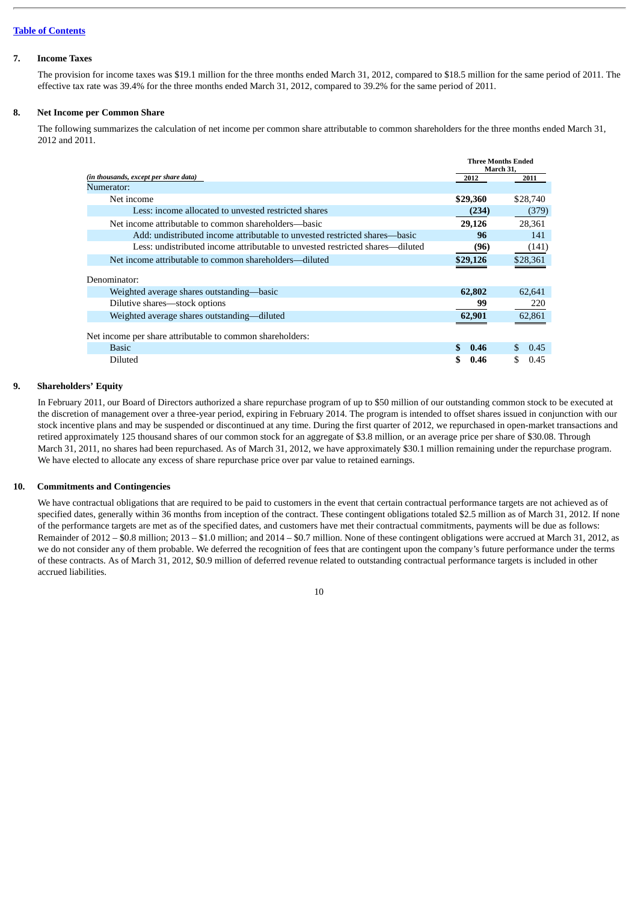#### **7. Income Taxes**

The provision for income taxes was \$19.1 million for the three months ended March 31, 2012, compared to \$18.5 million for the same period of 2011. The effective tax rate was 39.4% for the three months ended March 31, 2012, compared to 39.2% for the same period of 2011.

### **8. Net Income per Common Share**

The following summarizes the calculation of net income per common share attributable to common shareholders for the three months ended March 31, 2012 and 2011.

|                                                                               | Three Months Ended |             |
|-------------------------------------------------------------------------------|--------------------|-------------|
|                                                                               | March 31,          |             |
| (in thousands, except per share data)                                         | 2012               | 2011        |
| Numerator:                                                                    |                    |             |
| Net income                                                                    | \$29,360           | \$28,740    |
| Less: income allocated to unvested restricted shares                          | (234)              | (379)       |
| Net income attributable to common shareholders—basic                          | 29,126             | 28,361      |
| Add: undistributed income attributable to unvested restricted shares—basic    | 96                 | 141         |
| Less: undistributed income attributable to unvested restricted shares—diluted | (96)               | (141)       |
| Net income attributable to common shareholders—diluted                        | \$29,126           | \$28,361    |
| Denominator:                                                                  |                    |             |
| Weighted average shares outstanding—basic                                     | 62,802             | 62,641      |
| Dilutive shares—stock options                                                 | 99                 | 220         |
| Weighted average shares outstanding—diluted                                   | 62,901             | 62,861      |
| Net income per share attributable to common shareholders:                     |                    |             |
| <b>Basic</b>                                                                  | \$<br>0.46         | \$.<br>0.45 |
| Diluted                                                                       | 0.46               | 0.45        |

### **9. Shareholders' Equity**

In February 2011, our Board of Directors authorized a share repurchase program of up to \$50 million of our outstanding common stock to be executed at the discretion of management over a three-year period, expiring in February 2014. The program is intended to offset shares issued in conjunction with our stock incentive plans and may be suspended or discontinued at any time. During the first quarter of 2012, we repurchased in open-market transactions and retired approximately 125 thousand shares of our common stock for an aggregate of \$3.8 million, or an average price per share of \$30.08. Through March 31, 2011, no shares had been repurchased. As of March 31, 2012, we have approximately \$30.1 million remaining under the repurchase program. We have elected to allocate any excess of share repurchase price over par value to retained earnings.

### **10. Commitments and Contingencies**

We have contractual obligations that are required to be paid to customers in the event that certain contractual performance targets are not achieved as of specified dates, generally within 36 months from inception of the contract. These contingent obligations totaled \$2.5 million as of March 31, 2012. If none of the performance targets are met as of the specified dates, and customers have met their contractual commitments, payments will be due as follows: Remainder of 2012 – \$0.8 million; 2013 – \$1.0 million; and 2014 – \$0.7 million. None of these contingent obligations were accrued at March 31, 2012, as we do not consider any of them probable. We deferred the recognition of fees that are contingent upon the company's future performance under the terms of these contracts. As of March 31, 2012, \$0.9 million of deferred revenue related to outstanding contractual performance targets is included in other accrued liabilities.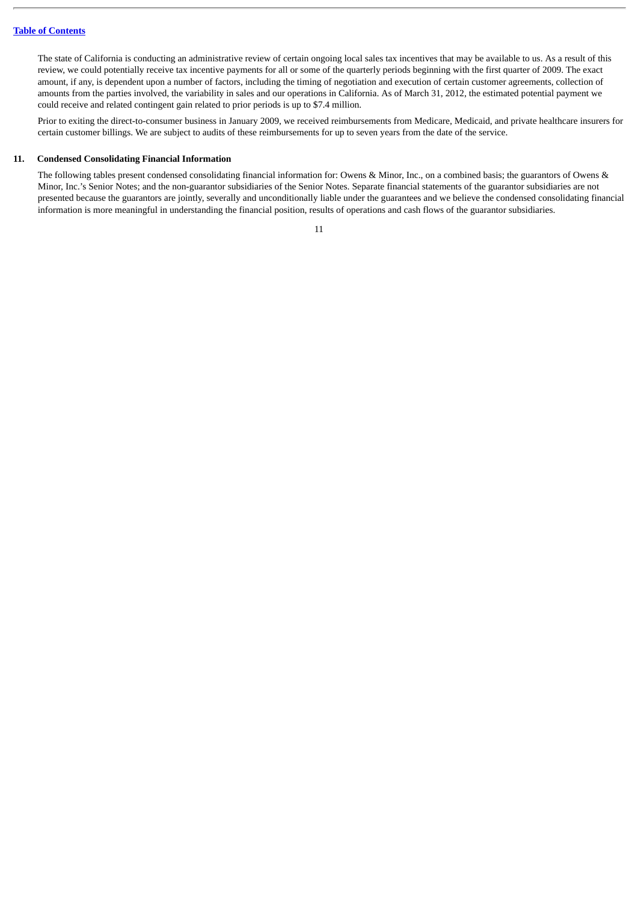The state of California is conducting an administrative review of certain ongoing local sales tax incentives that may be available to us. As a result of this review, we could potentially receive tax incentive payments for all or some of the quarterly periods beginning with the first quarter of 2009. The exact amount, if any, is dependent upon a number of factors, including the timing of negotiation and execution of certain customer agreements, collection of amounts from the parties involved, the variability in sales and our operations in California. As of March 31, 2012, the estimated potential payment we could receive and related contingent gain related to prior periods is up to \$7.4 million.

Prior to exiting the direct-to-consumer business in January 2009, we received reimbursements from Medicare, Medicaid, and private healthcare insurers for certain customer billings. We are subject to audits of these reimbursements for up to seven years from the date of the service.

### **11. Condensed Consolidating Financial Information**

The following tables present condensed consolidating financial information for: Owens & Minor, Inc., on a combined basis; the guarantors of Owens & Minor, Inc.'s Senior Notes; and the non-guarantor subsidiaries of the Senior Notes. Separate financial statements of the guarantor subsidiaries are not presented because the guarantors are jointly, severally and unconditionally liable under the guarantees and we believe the condensed consolidating financial information is more meaningful in understanding the financial position, results of operations and cash flows of the guarantor subsidiaries.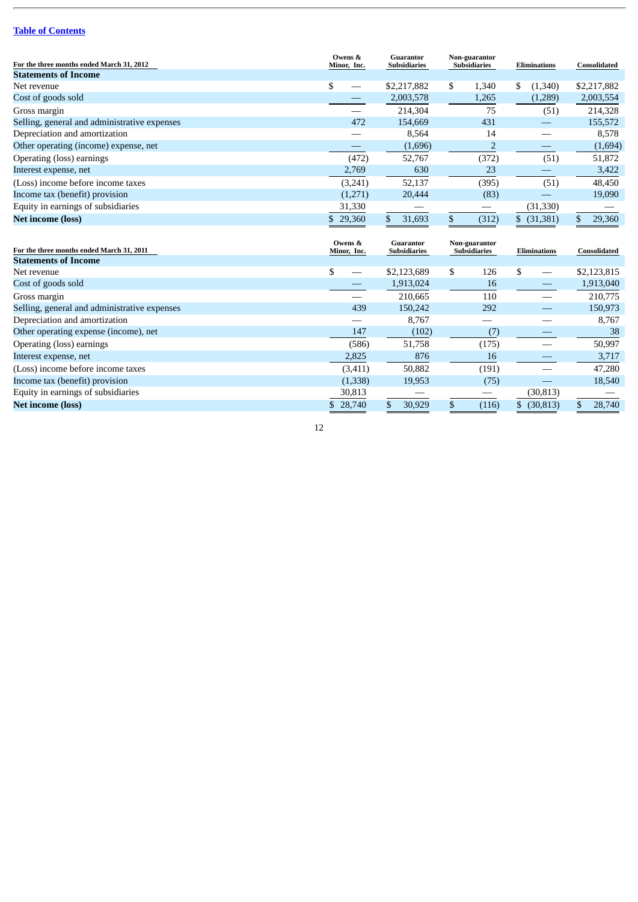| For the three months ended March 31, 2012    | Owens &<br>Minor, Inc. | Guarantor<br><b>Subsidiaries</b> | Non-guarantor<br><b>Subsidiaries</b> | <b>Eliminations</b> | Consolidated |
|----------------------------------------------|------------------------|----------------------------------|--------------------------------------|---------------------|--------------|
| <b>Statements of Income</b>                  |                        |                                  |                                      |                     |              |
| Net revenue                                  |                        | \$2,217,882                      | \$<br>1,340                          | (1,340)<br>\$       | \$2,217,882  |
| Cost of goods sold                           |                        | 2,003,578                        | 1,265                                | (1,289)             | 2,003,554    |
| Gross margin                                 |                        | 214,304                          | 75                                   | (51)                | 214,328      |
| Selling, general and administrative expenses | 472                    | 154,669                          | 431                                  |                     | 155,572      |
| Depreciation and amortization                |                        | 8,564                            | 14                                   | __                  | 8,578        |
| Other operating (income) expense, net        |                        | (1,696)                          |                                      |                     | (1,694)      |
| Operating (loss) earnings                    | (472)                  | 52,767                           | (372)                                | (51)                | 51,872       |
| Interest expense, net                        | 2,769                  | 630                              | 23                                   |                     | 3,422        |
| (Loss) income before income taxes            | (3,241)                | 52,137                           | (395)                                | (51)                | 48,450       |
| Income tax (benefit) provision               | (1,271)                | 20,444                           | (83)                                 |                     | 19,090       |
| Equity in earnings of subsidiaries           | 31,330                 |                                  |                                      | (31, 330)           |              |
| <b>Net income (loss)</b>                     | \$ 29,360              | 31,693                           | (312)                                | \$ (31,381)         | 29,360       |
|                                              |                        |                                  |                                      |                     |              |

| For the three months ended March 31, 2011    | Owens &<br>Minor, Inc. | Guarantor<br><b>Subsidiaries</b> | Non-guarantor<br><b>Subsidiaries</b> | <b>Eliminations</b> | Consolidated |
|----------------------------------------------|------------------------|----------------------------------|--------------------------------------|---------------------|--------------|
| <b>Statements of Income</b>                  |                        |                                  |                                      |                     |              |
| Net revenue                                  |                        | \$2,123,689                      | \$<br>126                            | \$                  | \$2,123,815  |
| Cost of goods sold                           |                        | 1,913,024                        | 16                                   |                     | 1,913,040    |
| Gross margin                                 |                        | 210,665                          | 110                                  |                     | 210,775      |
| Selling, general and administrative expenses | 439                    | 150,242                          | 292                                  |                     | 150,973      |
| Depreciation and amortization                |                        | 8.767                            |                                      |                     | 8.767        |
| Other operating expense (income), net        | 147                    | (102)                            | (7)                                  |                     | 38           |
| Operating (loss) earnings                    | (586)                  | 51,758                           | (175)                                |                     | 50,997       |
| Interest expense, net                        | 2,825                  | 876                              | 16                                   |                     | 3,717        |
| (Loss) income before income taxes            | (3,411)                | 50,882                           | (191)                                |                     | 47,280       |
| Income tax (benefit) provision               | (1,338)                | 19,953                           | (75)                                 |                     | 18,540       |
| Equity in earnings of subsidiaries           | 30,813                 |                                  | —                                    | (30, 813)           |              |
| <b>Net income (loss)</b>                     | \$28,740               | 30,929                           | (116)                                | (30, 813)           | 28,740       |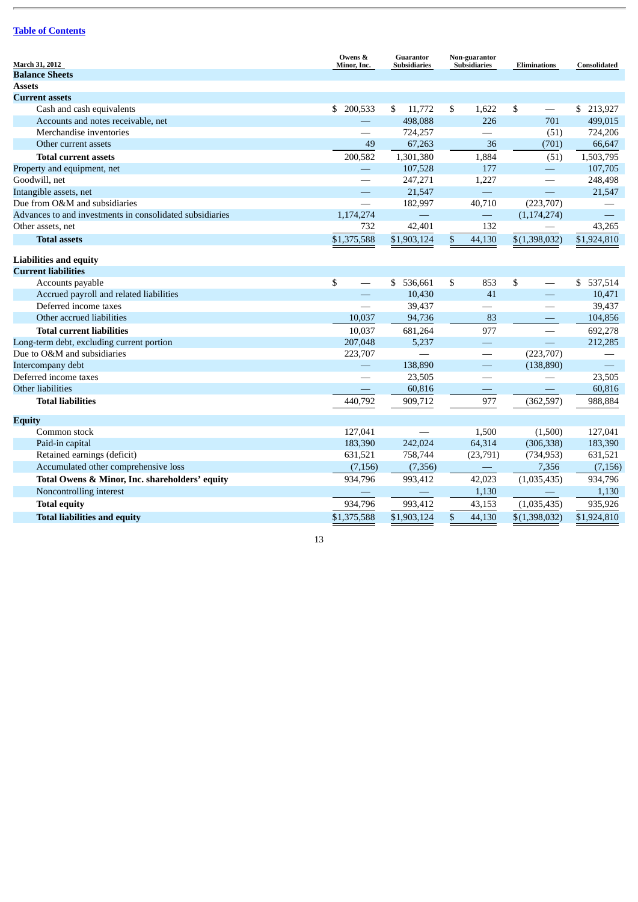| March 31, 2012                                           | Owens &<br>Minor, Inc.   | Guarantor<br><b>Subsidiaries</b> | Non-guarantor<br><b>Subsidiaries</b> | <b>Eliminations</b>      | Consolidated |
|----------------------------------------------------------|--------------------------|----------------------------------|--------------------------------------|--------------------------|--------------|
| <b>Balance Sheets</b>                                    |                          |                                  |                                      |                          |              |
| Assets                                                   |                          |                                  |                                      |                          |              |
| <b>Current assets</b>                                    |                          |                                  |                                      |                          |              |
| Cash and cash equivalents                                | \$ 200,533               | 11,772<br>\$                     | \$<br>1,622                          | \$<br>$\equiv$           | \$ 213,927   |
| Accounts and notes receivable, net                       |                          | 498,088                          | 226                                  | 701                      | 499,015      |
| Merchandise inventories                                  |                          | 724,257                          |                                      | (51)                     | 724,206      |
| Other current assets                                     | 49                       | 67,263                           | 36                                   | (701)                    | 66,647       |
| <b>Total current assets</b>                              | 200,582                  | 1,301,380                        | 1,884                                | (51)                     | 1,503,795    |
| Property and equipment, net                              |                          | 107,528                          | 177                                  | $\overline{\phantom{0}}$ | 107,705      |
| Goodwill, net                                            | $\overline{\phantom{0}}$ | 247,271                          | 1,227                                | $\equiv$                 | 248,498      |
| Intangible assets, net                                   | $\overline{\phantom{0}}$ | 21,547                           | $\equiv$                             | $\equiv$                 | 21,547       |
| Due from O&M and subsidiaries                            |                          | 182,997                          | 40,710                               | (223,707)                |              |
| Advances to and investments in consolidated subsidiaries | 1,174,274                | $\overline{\phantom{0}}$         |                                      | (1,174,274)              |              |
| Other assets, net                                        | 732                      | 42,401                           | 132                                  |                          | 43,265       |
| <b>Total assets</b>                                      | \$1,375,588              | \$1,903,124                      | \$<br>44,130                         | \$(1,398,032)            | \$1,924,810  |
|                                                          |                          |                                  |                                      |                          |              |
| <b>Liabilities and equity</b>                            |                          |                                  |                                      |                          |              |
| <b>Current liabilities</b>                               |                          |                                  |                                      |                          |              |
| Accounts payable                                         | \$                       | 536,661<br>\$                    | \$<br>853                            | \$                       | \$ 537,514   |
| Accrued payroll and related liabilities                  |                          | 10,430                           | 41                                   | $\equiv$                 | 10,471       |
| Deferred income taxes                                    |                          | 39,437                           |                                      |                          | 39,437       |
| Other accrued liabilities                                | 10,037                   | 94,736                           | 83                                   |                          | 104,856      |
| <b>Total current liabilities</b>                         | 10,037                   | 681,264                          | 977                                  | $\qquad \qquad$          | 692,278      |
| Long-term debt, excluding current portion                | 207,048                  | 5,237                            |                                      | $\equiv$                 | 212,285      |
| Due to O&M and subsidiaries                              | 223,707                  |                                  |                                      | (223,707)                |              |
| Intercompany debt                                        | $\overline{\phantom{0}}$ | 138,890                          |                                      | (138, 890)               |              |
| Deferred income taxes                                    | $\overline{\phantom{0}}$ | 23,505                           |                                      | $\overline{\phantom{0}}$ | 23,505       |
| Other liabilities                                        |                          | 60,816                           |                                      |                          | 60,816       |
| <b>Total liabilities</b>                                 | 440,792                  | 909,712                          | 977                                  | (362, 597)               | 988,884      |
| <b>Equity</b>                                            |                          |                                  |                                      |                          |              |
| Common stock                                             | 127,041                  |                                  | 1,500                                | (1,500)                  | 127,041      |
| Paid-in capital                                          | 183,390                  | 242,024                          | 64,314                               | (306, 338)               | 183,390      |
| Retained earnings (deficit)                              | 631,521                  | 758,744                          | (23,791)                             | (734, 953)               | 631,521      |
| Accumulated other comprehensive loss                     | (7, 156)                 | (7, 356)                         | $\qquad \qquad -$                    | 7,356                    | (7, 156)     |
| Total Owens & Minor, Inc. shareholders' equity           | 934,796                  | 993,412                          | 42,023                               | (1,035,435)              | 934,796      |
| Noncontrolling interest                                  |                          | $\hspace{0.05cm}$                | 1,130                                | $\overline{\phantom{m}}$ | 1,130        |
| <b>Total equity</b>                                      | 934,796                  | 993,412                          | 43,153                               | (1,035,435)              | 935,926      |
| <b>Total liabilities and equity</b>                      | \$1,375,588              | \$1,903,124                      | \$<br>44,130                         | \$(1,398,032)            | \$1,924,810  |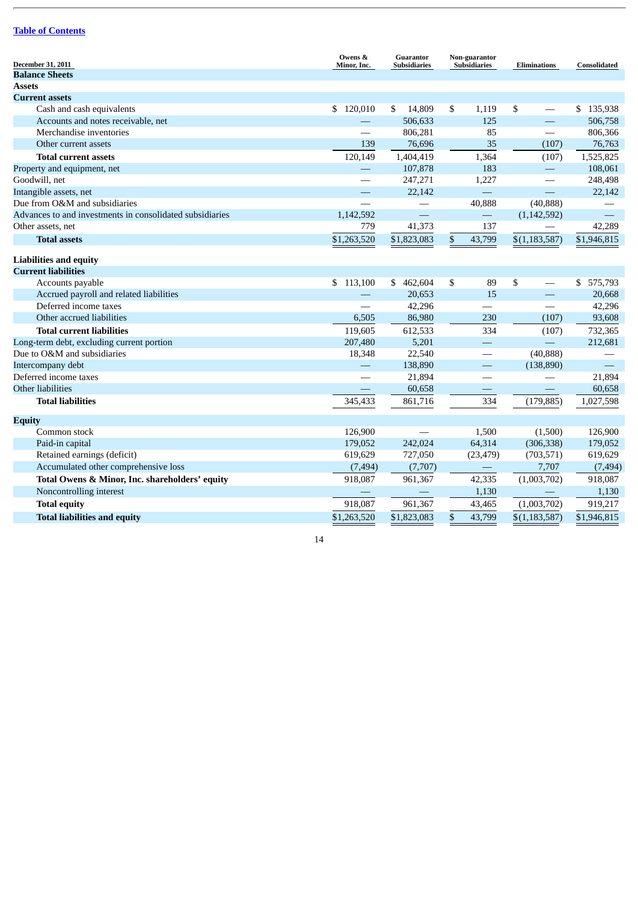| December 31, 2011                                        | Owens &<br>Minor, Inc.   | <b>Guarantor</b><br><b>Subsidiaries</b> | Non-guarantor<br><b>Subsidiaries</b> |                          | <b>Eliminations</b>      | <b>Consolidated</b> |
|----------------------------------------------------------|--------------------------|-----------------------------------------|--------------------------------------|--------------------------|--------------------------|---------------------|
| <b>Balance Sheets</b>                                    |                          |                                         |                                      |                          |                          |                     |
| <b>Assets</b>                                            |                          |                                         |                                      |                          |                          |                     |
| <b>Current assets</b>                                    |                          |                                         |                                      |                          |                          |                     |
| Cash and cash equivalents                                | \$120,010                | 14,809<br>S.                            | \$                                   | 1,119                    | \$<br>$\equiv$           | \$135,938           |
| Accounts and notes receivable, net                       |                          | 506,633                                 |                                      | 125                      | $\overline{\phantom{0}}$ | 506,758             |
| Merchandise inventories                                  |                          | 806,281                                 |                                      | 85                       | $\overline{\phantom{0}}$ | 806,366             |
| Other current assets                                     | 139                      | 76,696                                  |                                      | 35                       | (107)                    | 76,763              |
| <b>Total current assets</b>                              | 120,149                  | 1,404,419                               |                                      | 1,364                    | (107)                    | 1,525,825           |
| Property and equipment, net                              | $\overline{\phantom{0}}$ | 107,878                                 |                                      | 183                      | $\qquad \qquad =$        | 108,061             |
| Goodwill, net                                            | $\overline{\phantom{0}}$ | 247,271                                 |                                      | 1,227                    | $\overline{\phantom{0}}$ | 248,498             |
| Intangible assets, net                                   |                          | 22,142                                  |                                      | $\equiv$                 | 二                        | 22,142              |
| Due from O&M and subsidiaries                            |                          |                                         |                                      | 40,888                   | (40, 888)                |                     |
| Advances to and investments in consolidated subsidiaries | 1,142,592                | 二                                       |                                      | $\overline{\phantom{0}}$ | (1, 142, 592)            |                     |
| Other assets, net                                        | 779                      | 41,373                                  |                                      | 137                      |                          | 42,289              |
| <b>Total assets</b>                                      | \$1,263,520              | \$1,823,083                             | \$                                   | 43,799                   | \$(1,183,587)            | \$1,946,815         |
|                                                          |                          |                                         |                                      |                          |                          |                     |
| <b>Liabilities and equity</b>                            |                          |                                         |                                      |                          |                          |                     |
| <b>Current liabilities</b>                               |                          |                                         |                                      |                          |                          |                     |
| Accounts payable                                         | \$113,100                | \$462,604                               | \$                                   | 89                       | \$                       | \$575,793           |
| Accrued payroll and related liabilities                  |                          | 20,653                                  |                                      | 15                       |                          | 20,668              |
| Deferred income taxes                                    |                          | 42,296                                  |                                      |                          |                          | 42,296              |
| Other accrued liabilities                                | 6,505                    | 86,980                                  |                                      | 230                      | (107)                    | 93,608              |
| <b>Total current liabilities</b>                         | 119,605                  | 612,533                                 |                                      | 334                      | (107)                    | 732,365             |
| Long-term debt, excluding current portion                | 207,480                  | 5,201                                   |                                      | $\overline{\phantom{0}}$ | $\equiv$                 | 212,681             |
| Due to O&M and subsidiaries                              | 18,348                   | 22,540                                  |                                      |                          | (40, 888)                |                     |
| Intercompany debt                                        | $\overline{\phantom{0}}$ | 138,890                                 |                                      | $\overline{\phantom{0}}$ | (138, 890)               |                     |
| Deferred income taxes                                    |                          | 21,894                                  |                                      |                          |                          | 21,894              |
| <b>Other liabilities</b>                                 |                          | 60,658                                  |                                      |                          |                          | 60,658              |
| <b>Total liabilities</b>                                 | 345,433                  | 861,716                                 |                                      | 334                      | (179, 885)               | 1,027,598           |
|                                                          |                          |                                         |                                      |                          |                          |                     |
| <b>Equity</b>                                            |                          |                                         |                                      |                          |                          |                     |
| Common stock                                             | 126,900                  |                                         |                                      | 1,500                    | (1,500)                  | 126,900             |
| Paid-in capital                                          | 179,052                  | 242,024                                 |                                      | 64,314                   | (306, 338)               | 179,052             |
| Retained earnings (deficit)                              | 619,629                  | 727,050                                 |                                      | (23, 479)                | (703, 571)               | 619,629             |
| Accumulated other comprehensive loss                     | (7, 494)                 | (7,707)                                 |                                      |                          | 7,707                    | (7, 494)            |
| Total Owens & Minor, Inc. shareholders' equity           | 918,087                  | 961,367                                 |                                      | 42,335                   | (1,003,702)              | 918,087             |
| Noncontrolling interest                                  |                          |                                         |                                      | 1,130                    |                          | 1,130               |
| <b>Total equity</b>                                      | 918,087                  | 961,367                                 |                                      | 43,465                   | (1,003,702)              | 919,217             |
| <b>Total liabilities and equity</b>                      | \$1,263,520              | \$1,823,083                             | \$                                   | 43,799                   | \$(1,183,587)            | \$1,946,815         |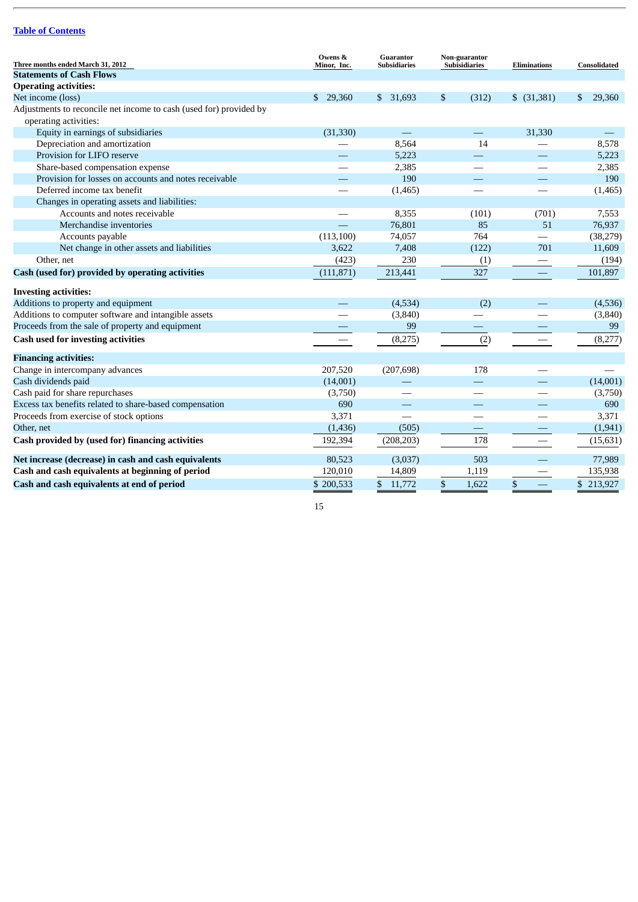| Three months ended March 31, 2012                                  | Owens &<br>Minor, Inc. | Guarantor<br><b>Subsidiaries</b> | Non-guarantor<br><b>Subisidiaries</b> | <b>Eliminations</b> | Consolidated |
|--------------------------------------------------------------------|------------------------|----------------------------------|---------------------------------------|---------------------|--------------|
| <b>Statements of Cash Flows</b>                                    |                        |                                  |                                       |                     |              |
| <b>Operating activities:</b>                                       |                        |                                  |                                       |                     |              |
| Net income (loss)                                                  | $\mathbb{S}$<br>29,360 | \$31,693                         | \$<br>(312)                           | $$$ (31,381)        | 29,360<br>\$ |
| Adjustments to reconcile net income to cash (used for) provided by |                        |                                  |                                       |                     |              |
| operating activities:                                              |                        |                                  |                                       |                     |              |
| Equity in earnings of subsidiaries                                 | (31, 330)              | $\overline{\phantom{0}}$         |                                       | 31,330              |              |
| Depreciation and amortization                                      |                        | 8,564                            | 14                                    |                     | 8,578        |
| Provision for LIFO reserve                                         |                        | 5,223                            |                                       |                     | 5,223        |
| Share-based compensation expense                                   |                        | 2,385                            |                                       |                     | 2,385        |
| Provision for losses on accounts and notes receivable              |                        | 190                              |                                       |                     | 190          |
| Deferred income tax benefit                                        |                        | (1, 465)                         |                                       |                     | (1,465)      |
| Changes in operating assets and liabilities:                       |                        |                                  |                                       |                     |              |
| Accounts and notes receivable                                      |                        | 8,355                            | (101)                                 | (701)               | 7,553        |
| Merchandise inventories                                            | <u>a a</u>             | 76,801                           | 85                                    | 51                  | 76,937       |
| Accounts payable                                                   | (113, 100)             | 74,057                           | 764                                   |                     | (38, 279)    |
| Net change in other assets and liabilities                         | 3,622                  | 7,408                            | (122)                                 | 701                 | 11,609       |
| Other, net                                                         | (423)                  | 230                              | (1)                                   |                     | (194)        |
| Cash (used for) provided by operating activities                   | (111, 871)             | 213,441                          | 327                                   |                     | 101,897      |
| <b>Investing activities:</b>                                       |                        |                                  |                                       |                     |              |
| Additions to property and equipment                                |                        | (4,534)                          | (2)                                   |                     | (4,536)      |
| Additions to computer software and intangible assets               |                        | (3,840)                          |                                       |                     | (3, 840)     |
| Proceeds from the sale of property and equipment                   |                        | 99                               |                                       |                     | 99           |
| <b>Cash used for investing activities</b>                          |                        | (8,275)                          | (2)                                   |                     | (8,277)      |
| <b>Financing activities:</b>                                       |                        |                                  |                                       |                     |              |
| Change in intercompany advances                                    | 207,520                | (207, 698)                       | 178                                   |                     |              |
| Cash dividends paid                                                | (14,001)               |                                  |                                       |                     | (14,001)     |
| Cash paid for share repurchases                                    | (3,750)                |                                  |                                       |                     | (3,750)      |
| Excess tax benefits related to share-based compensation            | 690                    |                                  |                                       |                     | 690          |
| Proceeds from exercise of stock options                            | 3,371                  |                                  |                                       |                     | 3,371        |
| Other, net                                                         | (1, 436)               | (505)                            |                                       |                     | (1, 941)     |
| Cash provided by (used for) financing activities                   | 192,394                | (208, 203)                       | 178                                   |                     | (15, 631)    |
| Net increase (decrease) in cash and cash equivalents               | 80,523                 | (3,037)                          | 503                                   |                     | 77,989       |
| Cash and cash equivalents at beginning of period                   | 120,010                | 14,809                           | 1,119                                 |                     | 135,938      |
| Cash and cash equivalents at end of period                         | \$200,533              | \$11,772                         | \$<br>1,622                           | \$                  | \$213,927    |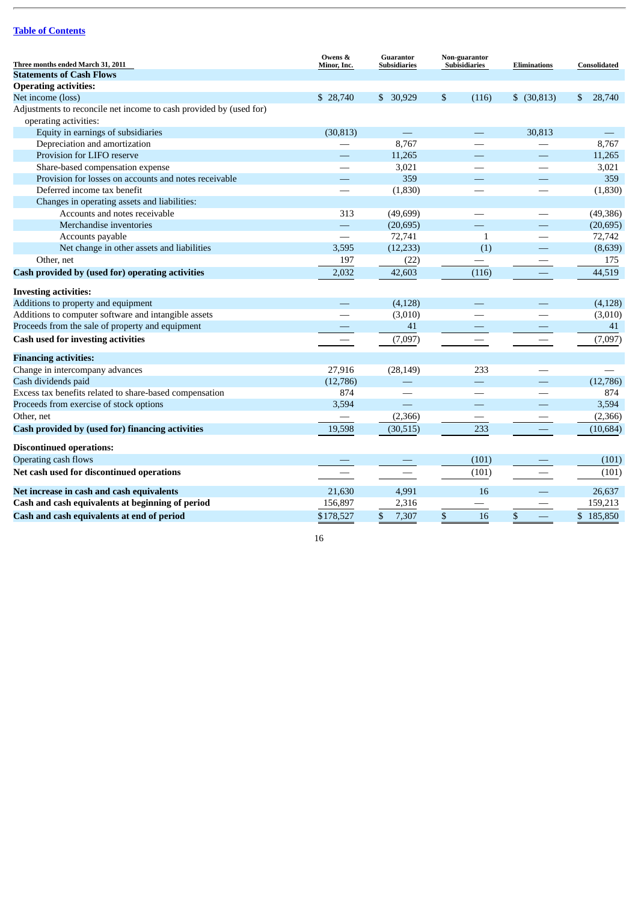| Three months ended March 31, 2011                                  | Owens &<br>Minor, Inc. | <b>Guarantor</b><br><b>Subsidiaries</b> | Non-guarantor<br><b>Subisidiaries</b> | <b>Eliminations</b> | Consolidated |
|--------------------------------------------------------------------|------------------------|-----------------------------------------|---------------------------------------|---------------------|--------------|
| <b>Statements of Cash Flows</b>                                    |                        |                                         |                                       |                     |              |
| <b>Operating activities:</b>                                       |                        |                                         |                                       |                     |              |
| Net income (loss)                                                  | \$ 28,740              | \$ 30,929                               | \$<br>(116)                           | \$ (30,813)         | 28,740<br>\$ |
| Adjustments to reconcile net income to cash provided by (used for) |                        |                                         |                                       |                     |              |
| operating activities:                                              |                        |                                         |                                       |                     |              |
| Equity in earnings of subsidiaries                                 | (30, 813)              |                                         |                                       | 30,813              |              |
| Depreciation and amortization                                      |                        | 8,767                                   |                                       |                     | 8,767        |
| Provision for LIFO reserve                                         |                        | 11,265                                  |                                       |                     | 11,265       |
| Share-based compensation expense                                   |                        | 3,021                                   |                                       |                     | 3,021        |
| Provision for losses on accounts and notes receivable              |                        | 359                                     |                                       |                     | 359          |
| Deferred income tax benefit                                        |                        | (1,830)                                 |                                       |                     | (1,830)      |
| Changes in operating assets and liabilities:                       |                        |                                         |                                       |                     |              |
| Accounts and notes receivable                                      | 313                    | (49, 699)                               |                                       |                     | (49, 386)    |
| Merchandise inventories                                            |                        | (20, 695)                               |                                       |                     | (20, 695)    |
| Accounts payable                                                   |                        | 72,741                                  | $\mathbf{1}$                          |                     | 72,742       |
| Net change in other assets and liabilities                         | 3,595                  | (12, 233)                               | (1)                                   |                     | (8,639)      |
| Other, net                                                         | 197                    | (22)                                    |                                       |                     | 175          |
| Cash provided by (used for) operating activities                   | 2,032                  | 42,603                                  | (116)                                 |                     | 44,519       |
| <b>Investing activities:</b>                                       |                        |                                         |                                       |                     |              |
| Additions to property and equipment                                |                        | (4, 128)                                |                                       |                     | (4, 128)     |
| Additions to computer software and intangible assets               |                        | (3,010)                                 |                                       |                     | (3,010)      |
| Proceeds from the sale of property and equipment                   |                        | 41                                      |                                       |                     | 41           |
| <b>Cash used for investing activities</b>                          |                        | (7,097)                                 |                                       |                     | (7,097)      |
| <b>Financing activities:</b>                                       |                        |                                         |                                       |                     |              |
| Change in intercompany advances                                    | 27,916                 | (28, 149)                               | 233                                   |                     |              |
| Cash dividends paid                                                | (12,786)               |                                         |                                       |                     | (12,786)     |
| Excess tax benefits related to share-based compensation            | 874                    |                                         |                                       |                     | 874          |
| Proceeds from exercise of stock options                            | 3,594                  |                                         |                                       |                     | 3,594        |
| Other, net                                                         |                        | (2,366)                                 |                                       |                     | (2,366)      |
| Cash provided by (used for) financing activities                   | 19.598                 | (30, 515)                               | 233                                   |                     | (10, 684)    |
| <b>Discontinued operations:</b>                                    |                        |                                         |                                       |                     |              |
| Operating cash flows                                               |                        |                                         | (101)                                 |                     | (101)        |
| Net cash used for discontinued operations                          |                        |                                         | (101)                                 |                     | (101)        |
| Net increase in cash and cash equivalents                          | 21,630                 | 4,991                                   | 16                                    |                     | 26,637       |
| Cash and cash equivalents at beginning of period                   | 156,897                | 2,316                                   |                                       |                     | 159,213      |
| Cash and cash equivalents at end of period                         | \$178,527              | \$<br>7,307                             | \$<br>16                              | \$                  | \$185,850    |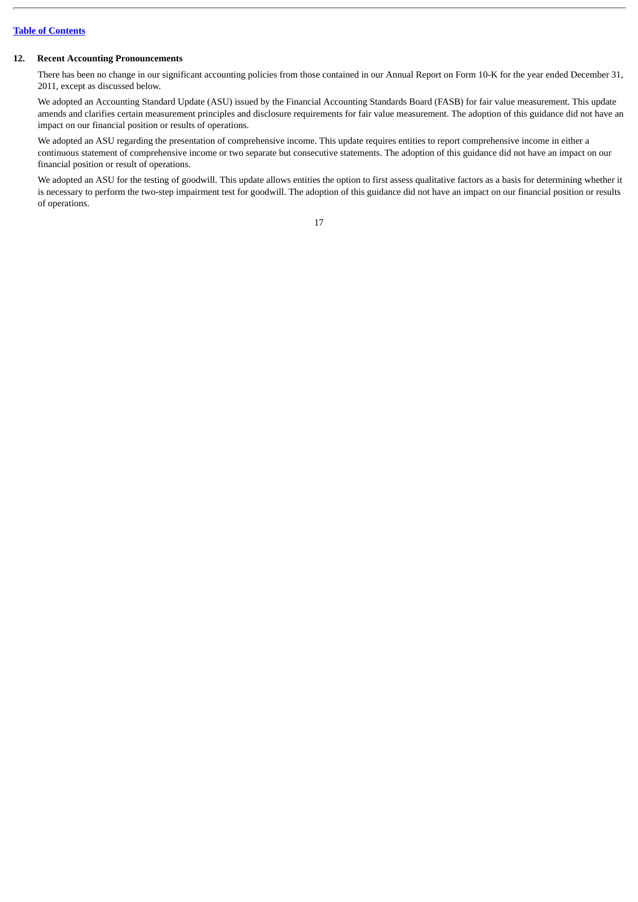### **12. Recent Accounting Pronouncements**

There has been no change in our significant accounting policies from those contained in our Annual Report on Form 10-K for the year ended December 31, 2011, except as discussed below.

We adopted an Accounting Standard Update (ASU) issued by the Financial Accounting Standards Board (FASB) for fair value measurement. This update amends and clarifies certain measurement principles and disclosure requirements for fair value measurement. The adoption of this guidance did not have an impact on our financial position or results of operations.

We adopted an ASU regarding the presentation of comprehensive income. This update requires entities to report comprehensive income in either a continuous statement of comprehensive income or two separate but consecutive statements. The adoption of this guidance did not have an impact on our financial position or result of operations.

We adopted an ASU for the testing of goodwill. This update allows entities the option to first assess qualitative factors as a basis for determining whether it is necessary to perform the two-step impairment test for goodwill. The adoption of this guidance did not have an impact on our financial position or results of operations.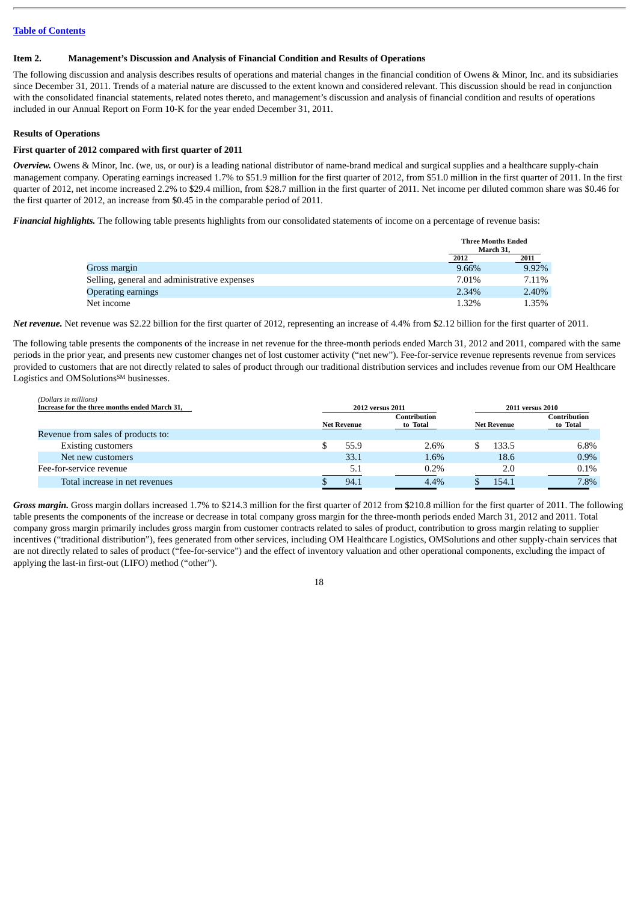### <span id="page-17-0"></span>**Item 2. Management's Discussion and Analysis of Financial Condition and Results of Operations**

The following discussion and analysis describes results of operations and material changes in the financial condition of Owens & Minor, Inc. and its subsidiaries since December 31, 2011. Trends of a material nature are discussed to the extent known and considered relevant. This discussion should be read in conjunction with the consolidated financial statements, related notes thereto, and management's discussion and analysis of financial condition and results of operations included in our Annual Report on Form 10-K for the year ended December 31, 2011.

### **Results of Operations**

### **First quarter of 2012 compared with first quarter of 2011**

*Overview.* Owens & Minor, Inc. (we, us, or our) is a leading national distributor of name-brand medical and surgical supplies and a healthcare supply-chain management company. Operating earnings increased 1.7% to \$51.9 million for the first quarter of 2012, from \$51.0 million in the first quarter of 2011. In the first quarter of 2012, net income increased 2.2% to \$29.4 million, from \$28.7 million in the first quarter of 2011. Net income per diluted common share was \$0.46 for the first quarter of 2012, an increase from \$0.45 in the comparable period of 2011.

*Financial highlights.* The following table presents highlights from our consolidated statements of income on a percentage of revenue basis:

|                                              | <b>Three Months Ended</b><br>March 31. |       |
|----------------------------------------------|----------------------------------------|-------|
|                                              | 2012                                   | 2011  |
| Gross margin                                 | 9.66%                                  | 9.92% |
| Selling, general and administrative expenses | 7.01%                                  | 7.11% |
| <b>Operating earnings</b>                    | 2.34%                                  | 2.40% |
| Net income                                   | 1.32%                                  | 1.35% |

*Net revenue.* Net revenue was \$2.22 billion for the first quarter of 2012, representing an increase of 4.4% from \$2.12 billion for the first quarter of 2011.

The following table presents the components of the increase in net revenue for the three-month periods ended March 31, 2012 and 2011, compared with the same periods in the prior year, and presents new customer changes net of lost customer activity ("net new"). Fee-for-service revenue represents revenue from services provided to customers that are not directly related to sales of product through our traditional distribution services and includes revenue from our OM Healthcare Logistics and OMSolutions<sup>SM</sup> businesses.

| (Dollars in millions)<br>Increase for the three months ended March 31, |                    | 2012 versus 2011         |                    | 2011 versus 2010         |
|------------------------------------------------------------------------|--------------------|--------------------------|--------------------|--------------------------|
|                                                                        | <b>Net Revenue</b> | Contribution<br>to Total | <b>Net Revenue</b> | Contribution<br>to Total |
| Revenue from sales of products to:                                     |                    |                          |                    |                          |
| <b>Existing customers</b>                                              | 55.9               | 2.6%                     | 133.5              | 6.8%                     |
| Net new customers                                                      | 33.1               | 1.6%                     | 18.6               | $0.9\%$                  |
| Fee-for-service revenue                                                | 5.1                | $0.2\%$                  | 2.0                | 0.1%                     |
| Total increase in net revenues                                         | 94.1               | 4.4%                     | 154.1              | 7.8%                     |

*Gross margin.* Gross margin dollars increased 1.7% to \$214.3 million for the first quarter of 2012 from \$210.8 million for the first quarter of 2011. The following table presents the components of the increase or decrease in total company gross margin for the three-month periods ended March 31, 2012 and 2011. Total company gross margin primarily includes gross margin from customer contracts related to sales of product, contribution to gross margin relating to supplier incentives ("traditional distribution"), fees generated from other services, including OM Healthcare Logistics, OMSolutions and other supply-chain services that are not directly related to sales of product ("fee-for-service") and the effect of inventory valuation and other operational components, excluding the impact of applying the last-in first-out (LIFO) method ("other").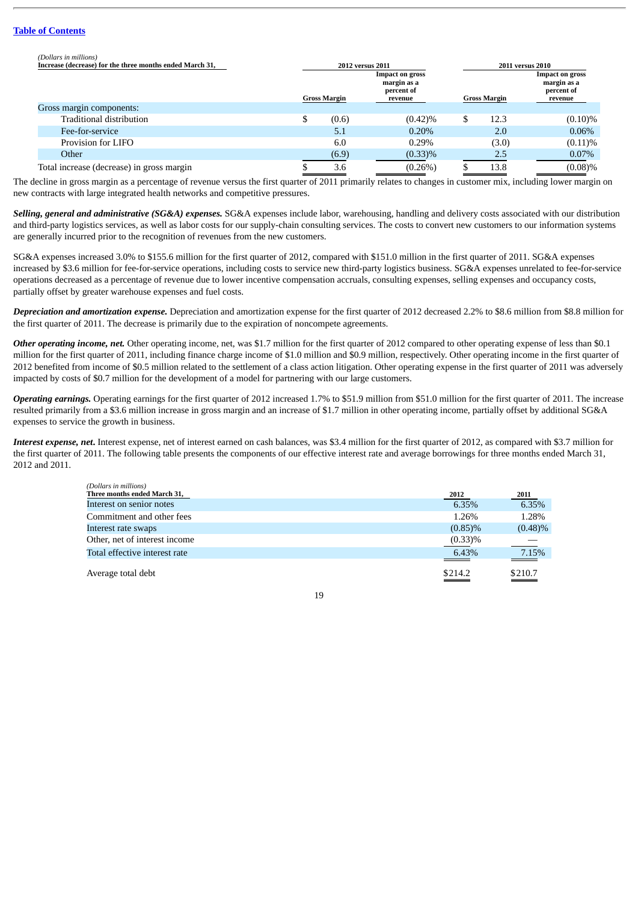| (Dollars in millions)<br>Increase (decrease) for the three months ended March 31, |   |                     | 2012 versus 2011                                               |    |                     | <b>2011 versus 2010</b>                                        |
|-----------------------------------------------------------------------------------|---|---------------------|----------------------------------------------------------------|----|---------------------|----------------------------------------------------------------|
|                                                                                   |   | <b>Gross Margin</b> | <b>Impact on gross</b><br>margin as a<br>percent of<br>revenue |    | <b>Gross Margin</b> | <b>Impact on gross</b><br>margin as a<br>percent of<br>revenue |
| Gross margin components:                                                          |   |                     |                                                                |    |                     |                                                                |
| Traditional distribution                                                          | J | (0.6)               | $(0.42)\%$                                                     | \$ | 12.3                | $(0.10)\%$                                                     |
| Fee-for-service                                                                   |   | 5.1                 | $0.20\%$                                                       |    | 2.0                 | 0.06%                                                          |
| Provision for LIFO                                                                |   | 6.0                 | 0.29%                                                          |    | (3.0)               | $(0.11)\%$                                                     |
| Other                                                                             |   | (6.9)               | $(0.33)\%$                                                     |    | 2.5                 | 0.07%                                                          |
| Total increase (decrease) in gross margin                                         |   | 3.6                 | (0.26%)                                                        | S  | 13.8                | $(0.08)\%$                                                     |

 The decline in gross margin as a percentage of revenue versus the first quarter of 2011 primarily relates to changes in customer mix, including lower margin on new contracts with large integrated health networks and competitive pressures.

*Selling, general and administrative (SG&A) expenses.* SG&A expenses include labor, warehousing, handling and delivery costs associated with our distribution and third-party logistics services, as well as labor costs for our supply-chain consulting services. The costs to convert new customers to our information systems are generally incurred prior to the recognition of revenues from the new customers.

SG&A expenses increased 3.0% to \$155.6 million for the first quarter of 2012, compared with \$151.0 million in the first quarter of 2011. SG&A expenses increased by \$3.6 million for fee-for-service operations, including costs to service new third-party logistics business. SG&A expenses unrelated to fee-for-service operations decreased as a percentage of revenue due to lower incentive compensation accruals, consulting expenses, selling expenses and occupancy costs, partially offset by greater warehouse expenses and fuel costs.

*Depreciation and amortization expense.* Depreciation and amortization expense for the first quarter of 2012 decreased 2.2% to \$8.6 million from \$8.8 million for the first quarter of 2011. The decrease is primarily due to the expiration of noncompete agreements.

*Other operating income, net.* Other operating income, net, was \$1.7 million for the first quarter of 2012 compared to other operating expense of less than \$0.1 million for the first quarter of 2011, including finance charge income of \$1.0 million and \$0.9 million, respectively. Other operating income in the first quarter of 2012 benefited from income of \$0.5 million related to the settlement of a class action litigation. Other operating expense in the first quarter of 2011 was adversely impacted by costs of \$0.7 million for the development of a model for partnering with our large customers.

*Operating earnings.* Operating earnings for the first quarter of 2012 increased 1.7% to \$51.9 million from \$51.0 million for the first quarter of 2011. The increase resulted primarily from a \$3.6 million increase in gross margin and an increase of \$1.7 million in other operating income, partially offset by additional SG&A expenses to service the growth in business.

*Interest expense, net***.** Interest expense, net of interest earned on cash balances, was \$3.4 million for the first quarter of 2012, as compared with \$3.7 million for the first quarter of 2011. The following table presents the components of our effective interest rate and average borrowings for three months ended March 31, 2012 and 2011.

| (Dollars in millions)         |            |            |
|-------------------------------|------------|------------|
| Three months ended March 31,  | 2012       | 2011       |
| Interest on senior notes      | 6.35%      | 6.35%      |
| Commitment and other fees     | 1.26%      | 1.28%      |
| Interest rate swaps           | $(0.85)\%$ | $(0.48)\%$ |
| Other, net of interest income | $(0.33)\%$ |            |
| Total effective interest rate | 6.43%      | 7.15%      |
| Average total debt            | \$214.2    | \$210.7    |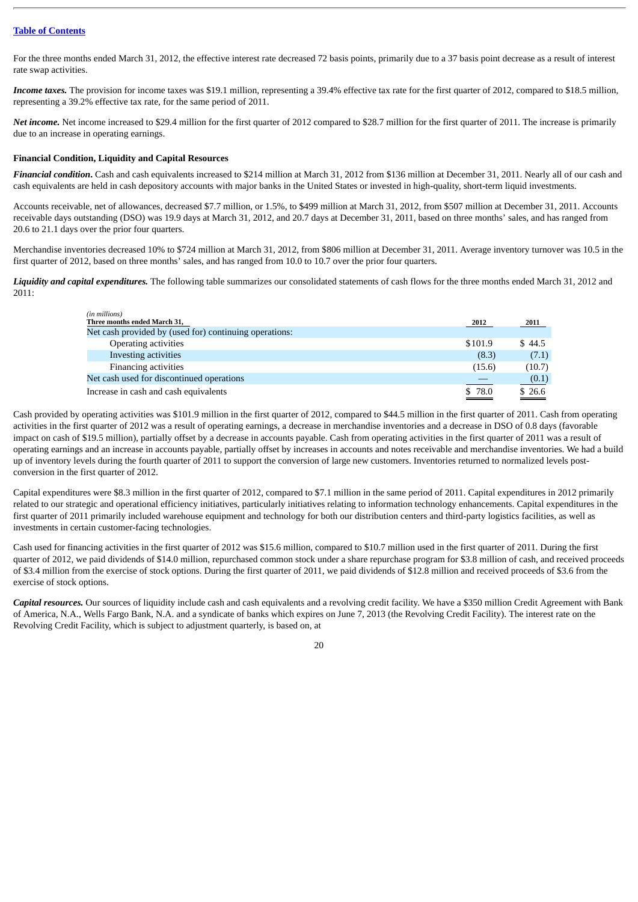For the three months ended March 31, 2012, the effective interest rate decreased 72 basis points, primarily due to a 37 basis point decrease as a result of interest rate swap activities.

*Income taxes*. The provision for income taxes was \$19.1 million, representing a 39.4% effective tax rate for the first quarter of 2012, compared to \$18.5 million, representing a 39.2% effective tax rate, for the same period of 2011.

*Net income.* Net income increased to \$29.4 million for the first quarter of 2012 compared to \$28.7 million for the first quarter of 2011. The increase is primarily due to an increase in operating earnings.

#### **Financial Condition, Liquidity and Capital Resources**

*Financial condition***.** Cash and cash equivalents increased to \$214 million at March 31, 2012 from \$136 million at December 31, 2011. Nearly all of our cash and cash equivalents are held in cash depository accounts with major banks in the United States or invested in high-quality, short-term liquid investments.

Accounts receivable, net of allowances, decreased \$7.7 million, or 1.5%, to \$499 million at March 31, 2012, from \$507 million at December 31, 2011. Accounts receivable days outstanding (DSO) was 19.9 days at March 31, 2012, and 20.7 days at December 31, 2011, based on three months' sales, and has ranged from 20.6 to 21.1 days over the prior four quarters.

Merchandise inventories decreased 10% to \$724 million at March 31, 2012, from \$806 million at December 31, 2011. Average inventory turnover was 10.5 in the first quarter of 2012, based on three months' sales, and has ranged from 10.0 to 10.7 over the prior four quarters.

*Liquidity and capital expenditures.* The following table summarizes our consolidated statements of cash flows for the three months ended March 31, 2012 and 2011:

| (in millions)                                          |         |        |
|--------------------------------------------------------|---------|--------|
| Three months ended March 31,                           | 2012    | 2011   |
| Net cash provided by (used for) continuing operations: |         |        |
| Operating activities                                   | \$101.9 | \$44.5 |
| Investing activities                                   | (8.3)   | (7.1)  |
| <b>Financing activities</b>                            | (15.6)  | (10.7) |
| Net cash used for discontinued operations              |         | (0.1)  |
| Increase in cash and cash equivalents                  | \$78.0  | \$26.6 |

Cash provided by operating activities was \$101.9 million in the first quarter of 2012, compared to \$44.5 million in the first quarter of 2011. Cash from operating activities in the first quarter of 2012 was a result of operating earnings, a decrease in merchandise inventories and a decrease in DSO of 0.8 days (favorable impact on cash of \$19.5 million), partially offset by a decrease in accounts payable. Cash from operating activities in the first quarter of 2011 was a result of operating earnings and an increase in accounts payable, partially offset by increases in accounts and notes receivable and merchandise inventories. We had a build up of inventory levels during the fourth quarter of 2011 to support the conversion of large new customers. Inventories returned to normalized levels postconversion in the first quarter of 2012.

Capital expenditures were \$8.3 million in the first quarter of 2012, compared to \$7.1 million in the same period of 2011. Capital expenditures in 2012 primarily related to our strategic and operational efficiency initiatives, particularly initiatives relating to information technology enhancements. Capital expenditures in the first quarter of 2011 primarily included warehouse equipment and technology for both our distribution centers and third-party logistics facilities, as well as investments in certain customer-facing technologies.

Cash used for financing activities in the first quarter of 2012 was \$15.6 million, compared to \$10.7 million used in the first quarter of 2011. During the first quarter of 2012, we paid dividends of \$14.0 million, repurchased common stock under a share repurchase program for \$3.8 million of cash, and received proceeds of \$3.4 million from the exercise of stock options. During the first quarter of 2011, we paid dividends of \$12.8 million and received proceeds of \$3.6 from the exercise of stock options.

*Capital resources.* Our sources of liquidity include cash and cash equivalents and a revolving credit facility. We have a \$350 million Credit Agreement with Bank of America, N.A., Wells Fargo Bank, N.A. and a syndicate of banks which expires on June 7, 2013 (the Revolving Credit Facility). The interest rate on the Revolving Credit Facility, which is subject to adjustment quarterly, is based on, at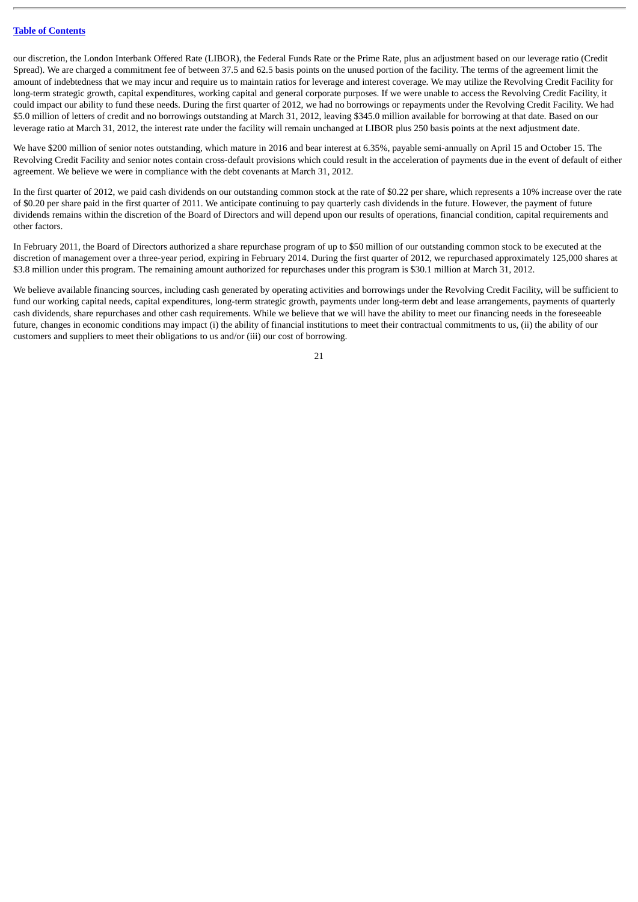our discretion, the London Interbank Offered Rate (LIBOR), the Federal Funds Rate or the Prime Rate, plus an adjustment based on our leverage ratio (Credit Spread). We are charged a commitment fee of between 37.5 and 62.5 basis points on the unused portion of the facility. The terms of the agreement limit the amount of indebtedness that we may incur and require us to maintain ratios for leverage and interest coverage. We may utilize the Revolving Credit Facility for long-term strategic growth, capital expenditures, working capital and general corporate purposes. If we were unable to access the Revolving Credit Facility, it could impact our ability to fund these needs. During the first quarter of 2012, we had no borrowings or repayments under the Revolving Credit Facility. We had \$5.0 million of letters of credit and no borrowings outstanding at March 31, 2012, leaving \$345.0 million available for borrowing at that date. Based on our leverage ratio at March 31, 2012, the interest rate under the facility will remain unchanged at LIBOR plus 250 basis points at the next adjustment date.

We have \$200 million of senior notes outstanding, which mature in 2016 and bear interest at 6.35%, payable semi-annually on April 15 and October 15. The Revolving Credit Facility and senior notes contain cross-default provisions which could result in the acceleration of payments due in the event of default of either agreement. We believe we were in compliance with the debt covenants at March 31, 2012.

In the first quarter of 2012, we paid cash dividends on our outstanding common stock at the rate of \$0.22 per share, which represents a 10% increase over the rate of \$0.20 per share paid in the first quarter of 2011. We anticipate continuing to pay quarterly cash dividends in the future. However, the payment of future dividends remains within the discretion of the Board of Directors and will depend upon our results of operations, financial condition, capital requirements and other factors.

In February 2011, the Board of Directors authorized a share repurchase program of up to \$50 million of our outstanding common stock to be executed at the discretion of management over a three-year period, expiring in February 2014. During the first quarter of 2012, we repurchased approximately 125,000 shares at \$3.8 million under this program. The remaining amount authorized for repurchases under this program is \$30.1 million at March 31, 2012.

We believe available financing sources, including cash generated by operating activities and borrowings under the Revolving Credit Facility, will be sufficient to fund our working capital needs, capital expenditures, long-term strategic growth, payments under long-term debt and lease arrangements, payments of quarterly cash dividends, share repurchases and other cash requirements. While we believe that we will have the ability to meet our financing needs in the foreseeable future, changes in economic conditions may impact (i) the ability of financial institutions to meet their contractual commitments to us, (ii) the ability of our customers and suppliers to meet their obligations to us and/or (iii) our cost of borrowing.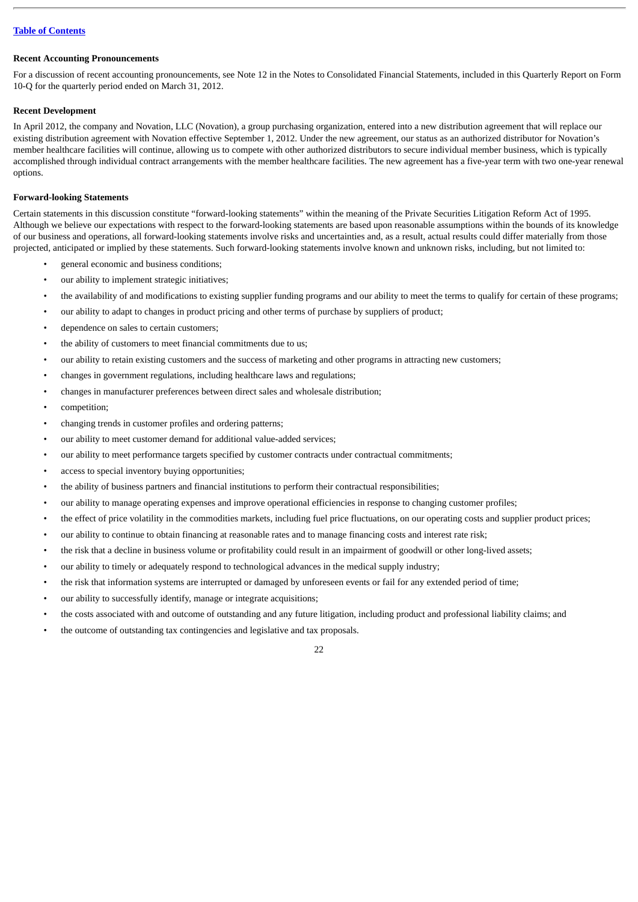#### **Recent Accounting Pronouncements**

For a discussion of recent accounting pronouncements, see Note 12 in the Notes to Consolidated Financial Statements, included in this Quarterly Report on Form 10-Q for the quarterly period ended on March 31, 2012.

### **Recent Development**

In April 2012, the company and Novation, LLC (Novation), a group purchasing organization, entered into a new distribution agreement that will replace our existing distribution agreement with Novation effective September 1, 2012. Under the new agreement, our status as an authorized distributor for Novation's member healthcare facilities will continue, allowing us to compete with other authorized distributors to secure individual member business, which is typically accomplished through individual contract arrangements with the member healthcare facilities. The new agreement has a five-year term with two one-year renewal options.

#### **Forward-looking Statements**

Certain statements in this discussion constitute "forward-looking statements" within the meaning of the Private Securities Litigation Reform Act of 1995. Although we believe our expectations with respect to the forward-looking statements are based upon reasonable assumptions within the bounds of its knowledge of our business and operations, all forward-looking statements involve risks and uncertainties and, as a result, actual results could differ materially from those projected, anticipated or implied by these statements. Such forward-looking statements involve known and unknown risks, including, but not limited to:

- general economic and business conditions;
- our ability to implement strategic initiatives;
- the availability of and modifications to existing supplier funding programs and our ability to meet the terms to qualify for certain of these programs;
- our ability to adapt to changes in product pricing and other terms of purchase by suppliers of product;
- dependence on sales to certain customers;
- the ability of customers to meet financial commitments due to us;
- our ability to retain existing customers and the success of marketing and other programs in attracting new customers;
- changes in government regulations, including healthcare laws and regulations;
- changes in manufacturer preferences between direct sales and wholesale distribution;
- competition;
- changing trends in customer profiles and ordering patterns;
- our ability to meet customer demand for additional value-added services;
- our ability to meet performance targets specified by customer contracts under contractual commitments;
- access to special inventory buying opportunities;
- the ability of business partners and financial institutions to perform their contractual responsibilities;
- our ability to manage operating expenses and improve operational efficiencies in response to changing customer profiles;
- the effect of price volatility in the commodities markets, including fuel price fluctuations, on our operating costs and supplier product prices;
- our ability to continue to obtain financing at reasonable rates and to manage financing costs and interest rate risk;
- the risk that a decline in business volume or profitability could result in an impairment of goodwill or other long-lived assets;
- our ability to timely or adequately respond to technological advances in the medical supply industry;
- the risk that information systems are interrupted or damaged by unforeseen events or fail for any extended period of time;
- our ability to successfully identify, manage or integrate acquisitions;
- the costs associated with and outcome of outstanding and any future litigation, including product and professional liability claims; and
- the outcome of outstanding tax contingencies and legislative and tax proposals.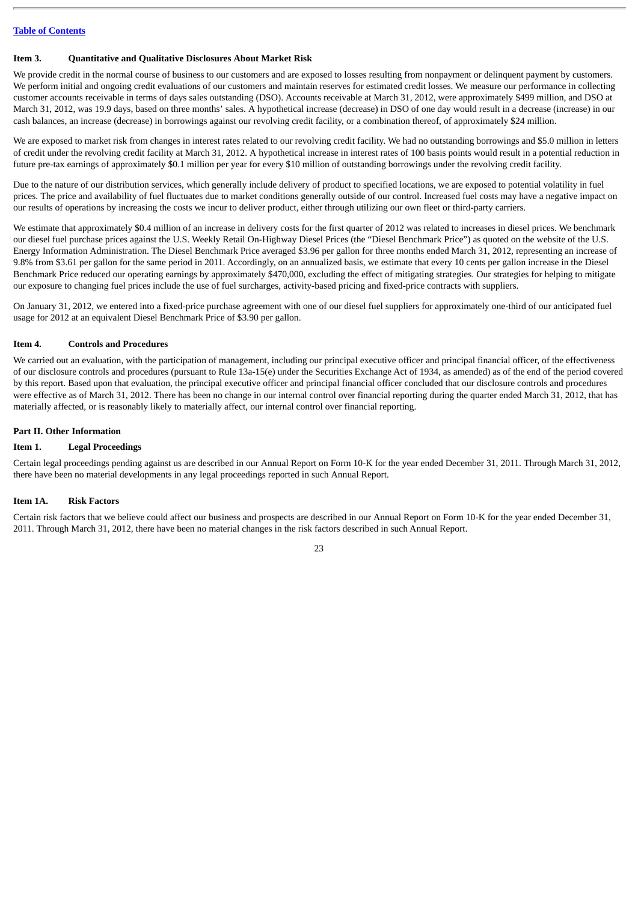### <span id="page-22-0"></span>**Item 3. Quantitative and Qualitative Disclosures About Market Risk**

We provide credit in the normal course of business to our customers and are exposed to losses resulting from nonpayment or delinquent payment by customers. We perform initial and ongoing credit evaluations of our customers and maintain reserves for estimated credit losses. We measure our performance in collecting customer accounts receivable in terms of days sales outstanding (DSO). Accounts receivable at March 31, 2012, were approximately \$499 million, and DSO at March 31, 2012, was 19.9 days, based on three months' sales. A hypothetical increase (decrease) in DSO of one day would result in a decrease (increase) in our cash balances, an increase (decrease) in borrowings against our revolving credit facility, or a combination thereof, of approximately \$24 million.

We are exposed to market risk from changes in interest rates related to our revolving credit facility. We had no outstanding borrowings and \$5.0 million in letters of credit under the revolving credit facility at March 31, 2012. A hypothetical increase in interest rates of 100 basis points would result in a potential reduction in future pre-tax earnings of approximately \$0.1 million per year for every \$10 million of outstanding borrowings under the revolving credit facility.

Due to the nature of our distribution services, which generally include delivery of product to specified locations, we are exposed to potential volatility in fuel prices. The price and availability of fuel fluctuates due to market conditions generally outside of our control. Increased fuel costs may have a negative impact on our results of operations by increasing the costs we incur to deliver product, either through utilizing our own fleet or third-party carriers.

We estimate that approximately \$0.4 million of an increase in delivery costs for the first quarter of 2012 was related to increases in diesel prices. We benchmark our diesel fuel purchase prices against the U.S. Weekly Retail On-Highway Diesel Prices (the "Diesel Benchmark Price") as quoted on the website of the U.S. Energy Information Administration. The Diesel Benchmark Price averaged \$3.96 per gallon for three months ended March 31, 2012, representing an increase of 9.8% from \$3.61 per gallon for the same period in 2011. Accordingly, on an annualized basis, we estimate that every 10 cents per gallon increase in the Diesel Benchmark Price reduced our operating earnings by approximately \$470,000, excluding the effect of mitigating strategies. Our strategies for helping to mitigate our exposure to changing fuel prices include the use of fuel surcharges, activity-based pricing and fixed-price contracts with suppliers.

On January 31, 2012, we entered into a fixed-price purchase agreement with one of our diesel fuel suppliers for approximately one-third of our anticipated fuel usage for 2012 at an equivalent Diesel Benchmark Price of \$3.90 per gallon.

### <span id="page-22-1"></span>**Item 4. Controls and Procedures**

We carried out an evaluation, with the participation of management, including our principal executive officer and principal financial officer, of the effectiveness of our disclosure controls and procedures (pursuant to Rule 13a-15(e) under the Securities Exchange Act of 1934, as amended) as of the end of the period covered by this report. Based upon that evaluation, the principal executive officer and principal financial officer concluded that our disclosure controls and procedures were effective as of March 31, 2012. There has been no change in our internal control over financial reporting during the quarter ended March 31, 2012, that has materially affected, or is reasonably likely to materially affect, our internal control over financial reporting.

### <span id="page-22-2"></span>**Part II. Other Information**

### <span id="page-22-3"></span>**Item 1. Legal Proceedings**

Certain legal proceedings pending against us are described in our Annual Report on Form 10-K for the year ended December 31, 2011. Through March 31, 2012, there have been no material developments in any legal proceedings reported in such Annual Report.

### <span id="page-22-4"></span>**Item 1A. Risk Factors**

Certain risk factors that we believe could affect our business and prospects are described in our Annual Report on Form 10-K for the year ended December 31, 2011. Through March 31, 2012, there have been no material changes in the risk factors described in such Annual Report.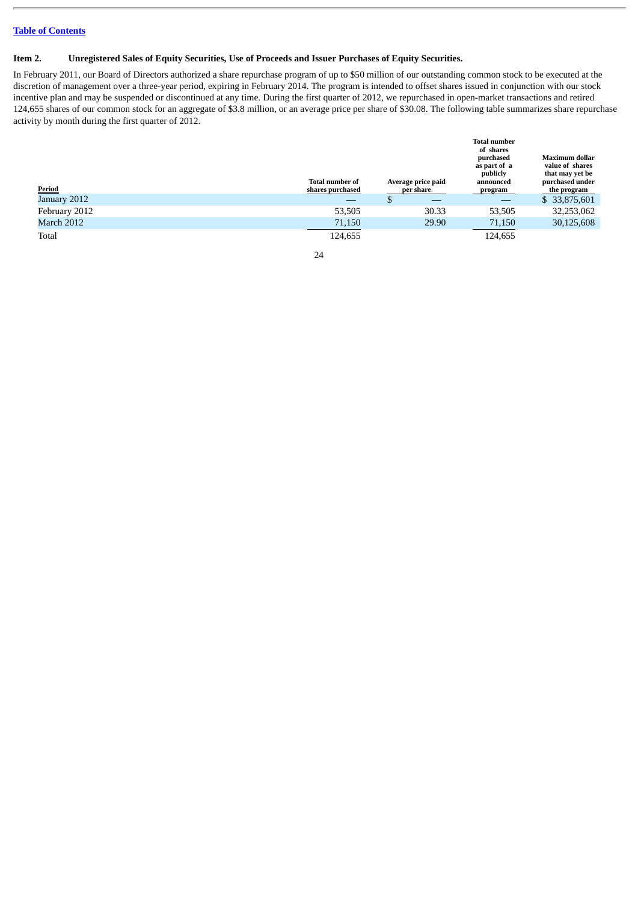### <span id="page-23-0"></span>**Item 2. Unregistered Sales of Equity Securities, Use of Proceeds and Issuer Purchases of Equity Securities.**

In February 2011, our Board of Directors authorized a share repurchase program of up to \$50 million of our outstanding common stock to be executed at the discretion of management over a three-year period, expiring in February 2014. The program is intended to offset shares issued in conjunction with our stock incentive plan and may be suspended or discontinued at any time. During the first quarter of 2012, we repurchased in open-market transactions and retired 124,655 shares of our common stock for an aggregate of \$3.8 million, or an average price per share of \$30.08. The following table summarizes share repurchase activity by month during the first quarter of 2012.

| Period        | <b>Total number of</b><br>shares purchased | Average price paid<br>per share | <b>Total number</b><br>of shares<br>purchased<br>as part of a<br>publicly<br>announced<br>program | <b>Maximum</b> dollar<br>value of shares<br>that may yet be<br>purchased under<br>the program |
|---------------|--------------------------------------------|---------------------------------|---------------------------------------------------------------------------------------------------|-----------------------------------------------------------------------------------------------|
| January 2012  |                                            | —                               |                                                                                                   | \$ 33,875,601                                                                                 |
| February 2012 | 53,505                                     | 30.33                           | 53,505                                                                                            | 32,253,062                                                                                    |
| March 2012    | 71,150                                     | 29.90                           | 71,150                                                                                            | 30,125,608                                                                                    |
| Total         | 124,655                                    |                                 | 124,655                                                                                           |                                                                                               |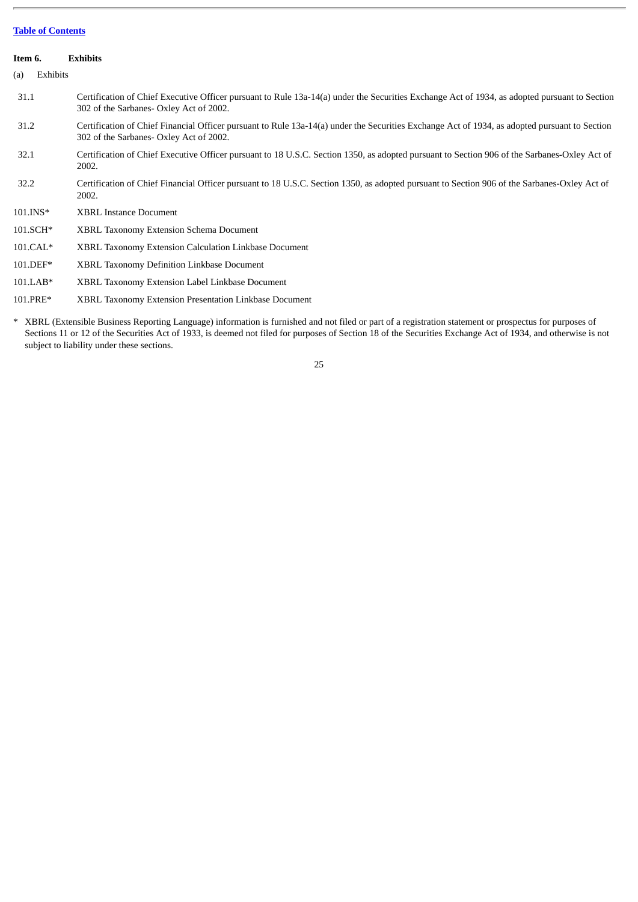<span id="page-24-0"></span>

| Item 6.<br>Exhibits<br>(a) | <b>Exhibits</b>                                                                                                                                                                          |
|----------------------------|------------------------------------------------------------------------------------------------------------------------------------------------------------------------------------------|
| 31.1                       | Certification of Chief Executive Officer pursuant to Rule 13a-14(a) under the Securities Exchange Act of 1934, as adopted pursuant to Section<br>302 of the Sarbanes- Oxley Act of 2002. |
| 31.2                       | Certification of Chief Financial Officer pursuant to Rule 13a-14(a) under the Securities Exchange Act of 1934, as adopted pursuant to Section<br>302 of the Sarbanes- Oxley Act of 2002. |
| 32.1                       | Certification of Chief Executive Officer pursuant to 18 U.S.C. Section 1350, as adopted pursuant to Section 906 of the Sarbanes-Oxley Act of<br>2002.                                    |
| 32.2                       | Certification of Chief Financial Officer pursuant to 18 U.S.C. Section 1350, as adopted pursuant to Section 906 of the Sarbanes-Oxley Act of<br>2002.                                    |
| 101.INS*                   | <b>XBRL Instance Document</b>                                                                                                                                                            |
| 101.SCH*                   | XBRL Taxonomy Extension Schema Document                                                                                                                                                  |
| $101.CAL*$                 | XBRL Taxonomy Extension Calculation Linkbase Document                                                                                                                                    |
| 101.DEF*                   | XBRL Taxonomy Definition Linkbase Document                                                                                                                                               |
| $101.LAB*$                 | XBRL Taxonomy Extension Label Linkbase Document                                                                                                                                          |
| 101.PRE*                   | XBRL Taxonomy Extension Presentation Linkbase Document                                                                                                                                   |

\* XBRL (Extensible Business Reporting Language) information is furnished and not filed or part of a registration statement or prospectus for purposes of Sections 11 or 12 of the Securities Act of 1933, is deemed not filed for purposes of Section 18 of the Securities Exchange Act of 1934, and otherwise is not subject to liability under these sections.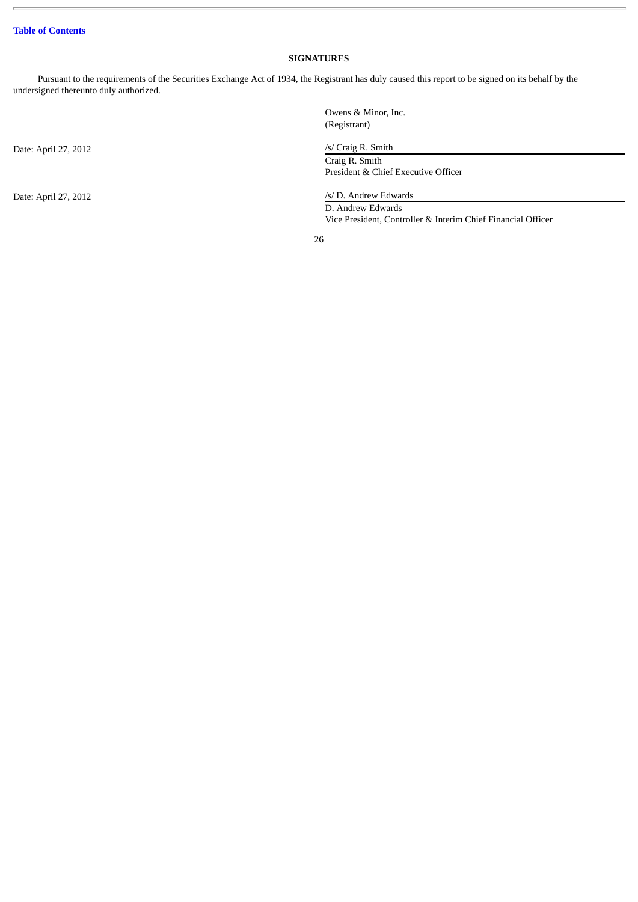### **SIGNATURES**

Pursuant to the requirements of the Securities Exchange Act of 1934, the Registrant has duly caused this report to be signed on its behalf by the undersigned thereunto duly authorized.

Date: April 27, 2012 /s/ Craig R. Smith

Owens & Minor, Inc. (Registrant)

Craig R. Smith President & Chief Executive Officer

Date: April 27, 2012 /s/ D. Andrew Edwards

D. Andrew Edwards Vice President, Controller & Interim Chief Financial Officer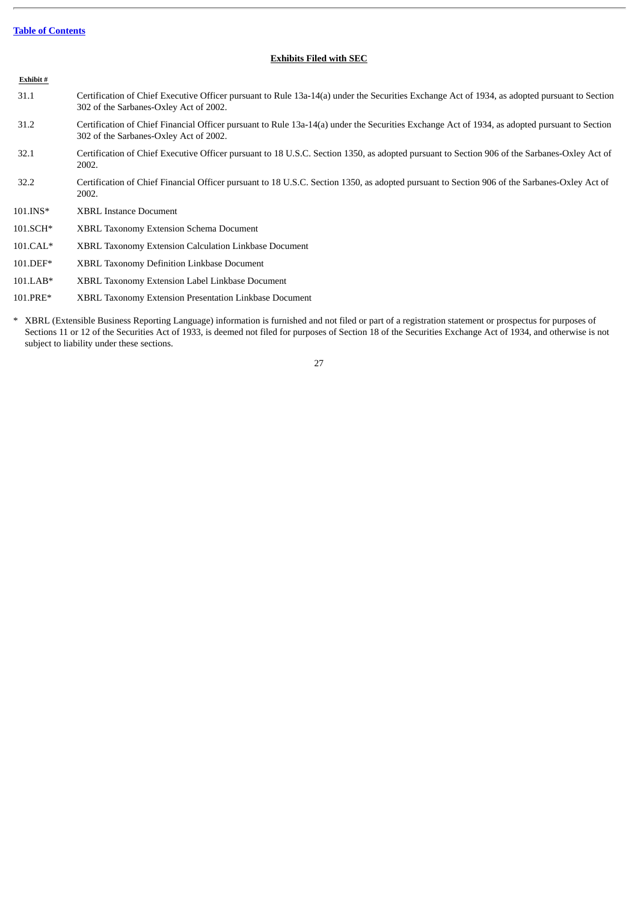### **Exhibits Filed with SEC**

| Exhibit #  |                                                                                                                                                                                         |
|------------|-----------------------------------------------------------------------------------------------------------------------------------------------------------------------------------------|
| 31.1       | Certification of Chief Executive Officer pursuant to Rule 13a-14(a) under the Securities Exchange Act of 1934, as adopted pursuant to Section<br>302 of the Sarbanes-Oxley Act of 2002. |
| 31.2       | Certification of Chief Financial Officer pursuant to Rule 13a-14(a) under the Securities Exchange Act of 1934, as adopted pursuant to Section<br>302 of the Sarbanes-Oxley Act of 2002. |
| 32.1       | Certification of Chief Executive Officer pursuant to 18 U.S.C. Section 1350, as adopted pursuant to Section 906 of the Sarbanes-Oxley Act of<br>2002.                                   |
| 32.2       | Certification of Chief Financial Officer pursuant to 18 U.S.C. Section 1350, as adopted pursuant to Section 906 of the Sarbanes-Oxley Act of<br>2002.                                   |
| 101.INS*   | <b>XBRL Instance Document</b>                                                                                                                                                           |
| 101.SCH*   | <b>XBRL Taxonomy Extension Schema Document</b>                                                                                                                                          |
| $101.CAL*$ | XBRL Taxonomy Extension Calculation Linkbase Document                                                                                                                                   |
| 101.DEF*   | XBRL Taxonomy Definition Linkbase Document                                                                                                                                              |
| $101.LAB*$ | XBRL Taxonomy Extension Label Linkbase Document                                                                                                                                         |
| 101.PRE*   | XBRL Taxonomy Extension Presentation Linkbase Document                                                                                                                                  |
|            |                                                                                                                                                                                         |

\* XBRL (Extensible Business Reporting Language) information is furnished and not filed or part of a registration statement or prospectus for purposes of Sections 11 or 12 of the Securities Act of 1933, is deemed not filed for purposes of Section 18 of the Securities Exchange Act of 1934, and otherwise is not subject to liability under these sections.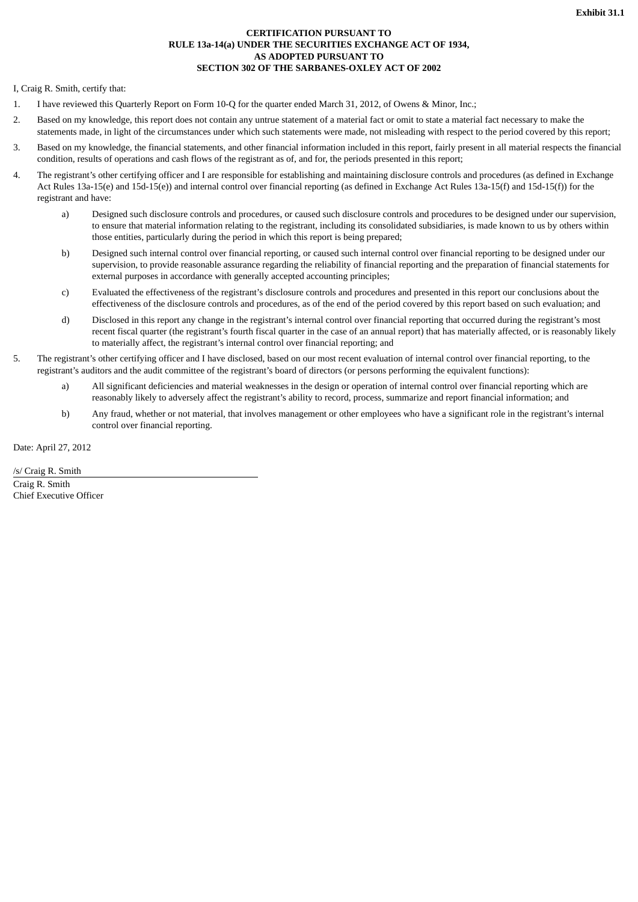### **CERTIFICATION PURSUANT TO RULE 13a-14(a) UNDER THE SECURITIES EXCHANGE ACT OF 1934, AS ADOPTED PURSUANT TO SECTION 302 OF THE SARBANES-OXLEY ACT OF 2002**

I, Craig R. Smith, certify that:

- 1. I have reviewed this Quarterly Report on Form 10-Q for the quarter ended March 31, 2012, of Owens & Minor, Inc.;
- 2. Based on my knowledge, this report does not contain any untrue statement of a material fact or omit to state a material fact necessary to make the statements made, in light of the circumstances under which such statements were made, not misleading with respect to the period covered by this report;
- 3. Based on my knowledge, the financial statements, and other financial information included in this report, fairly present in all material respects the financial condition, results of operations and cash flows of the registrant as of, and for, the periods presented in this report;
- 4. The registrant's other certifying officer and I are responsible for establishing and maintaining disclosure controls and procedures (as defined in Exchange Act Rules 13a-15(e) and 15d-15(e)) and internal control over financial reporting (as defined in Exchange Act Rules 13a-15(f) and 15d-15(f)) for the registrant and have:
	- a) Designed such disclosure controls and procedures, or caused such disclosure controls and procedures to be designed under our supervision, to ensure that material information relating to the registrant, including its consolidated subsidiaries, is made known to us by others within those entities, particularly during the period in which this report is being prepared;
	- b) Designed such internal control over financial reporting, or caused such internal control over financial reporting to be designed under our supervision, to provide reasonable assurance regarding the reliability of financial reporting and the preparation of financial statements for external purposes in accordance with generally accepted accounting principles;
	- c) Evaluated the effectiveness of the registrant's disclosure controls and procedures and presented in this report our conclusions about the effectiveness of the disclosure controls and procedures, as of the end of the period covered by this report based on such evaluation; and
	- d) Disclosed in this report any change in the registrant's internal control over financial reporting that occurred during the registrant's most recent fiscal quarter (the registrant's fourth fiscal quarter in the case of an annual report) that has materially affected, or is reasonably likely to materially affect, the registrant's internal control over financial reporting; and
- 5. The registrant's other certifying officer and I have disclosed, based on our most recent evaluation of internal control over financial reporting, to the registrant's auditors and the audit committee of the registrant's board of directors (or persons performing the equivalent functions):
	- a) All significant deficiencies and material weaknesses in the design or operation of internal control over financial reporting which are reasonably likely to adversely affect the registrant's ability to record, process, summarize and report financial information; and
	- b) Any fraud, whether or not material, that involves management or other employees who have a significant role in the registrant's internal control over financial reporting.

Date: April 27, 2012

/s/ Craig R. Smith

Craig R. Smith Chief Executive Officer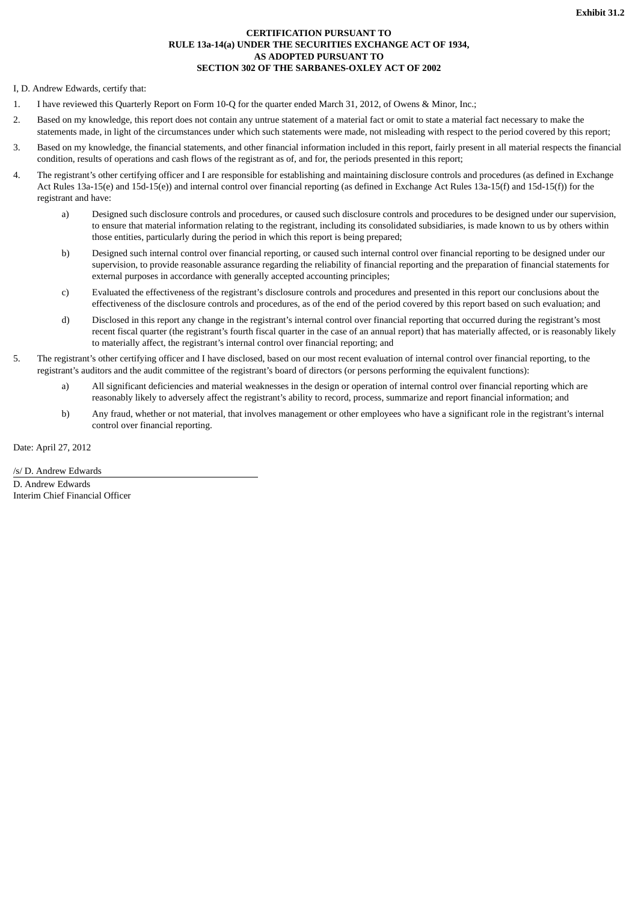### **CERTIFICATION PURSUANT TO RULE 13a-14(a) UNDER THE SECURITIES EXCHANGE ACT OF 1934, AS ADOPTED PURSUANT TO SECTION 302 OF THE SARBANES-OXLEY ACT OF 2002**

I, D. Andrew Edwards, certify that:

- 1. I have reviewed this Quarterly Report on Form 10-Q for the quarter ended March 31, 2012, of Owens & Minor, Inc.;
- 2. Based on my knowledge, this report does not contain any untrue statement of a material fact or omit to state a material fact necessary to make the statements made, in light of the circumstances under which such statements were made, not misleading with respect to the period covered by this report;
- 3. Based on my knowledge, the financial statements, and other financial information included in this report, fairly present in all material respects the financial condition, results of operations and cash flows of the registrant as of, and for, the periods presented in this report;
- 4. The registrant's other certifying officer and I are responsible for establishing and maintaining disclosure controls and procedures (as defined in Exchange Act Rules 13a-15(e) and 15d-15(e)) and internal control over financial reporting (as defined in Exchange Act Rules 13a-15(f) and 15d-15(f)) for the registrant and have:
	- a) Designed such disclosure controls and procedures, or caused such disclosure controls and procedures to be designed under our supervision, to ensure that material information relating to the registrant, including its consolidated subsidiaries, is made known to us by others within those entities, particularly during the period in which this report is being prepared;
	- b) Designed such internal control over financial reporting, or caused such internal control over financial reporting to be designed under our supervision, to provide reasonable assurance regarding the reliability of financial reporting and the preparation of financial statements for external purposes in accordance with generally accepted accounting principles;
	- c) Evaluated the effectiveness of the registrant's disclosure controls and procedures and presented in this report our conclusions about the effectiveness of the disclosure controls and procedures, as of the end of the period covered by this report based on such evaluation; and
	- d) Disclosed in this report any change in the registrant's internal control over financial reporting that occurred during the registrant's most recent fiscal quarter (the registrant's fourth fiscal quarter in the case of an annual report) that has materially affected, or is reasonably likely to materially affect, the registrant's internal control over financial reporting; and
- 5. The registrant's other certifying officer and I have disclosed, based on our most recent evaluation of internal control over financial reporting, to the registrant's auditors and the audit committee of the registrant's board of directors (or persons performing the equivalent functions):
	- a) All significant deficiencies and material weaknesses in the design or operation of internal control over financial reporting which are reasonably likely to adversely affect the registrant's ability to record, process, summarize and report financial information; and
	- b) Any fraud, whether or not material, that involves management or other employees who have a significant role in the registrant's internal control over financial reporting.

Date: April 27, 2012

/s/ D. Andrew Edwards

D. Andrew Edwards Interim Chief Financial Officer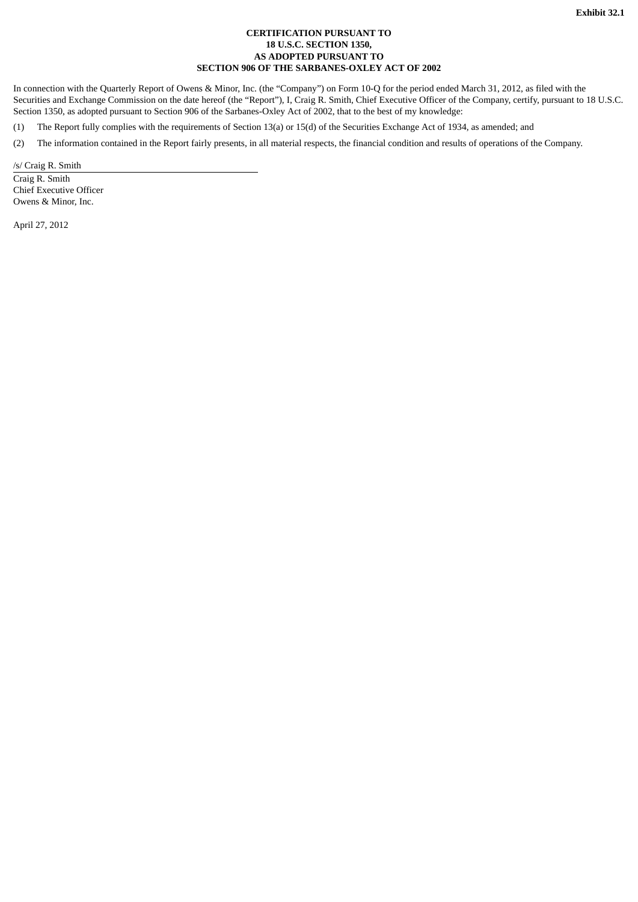### **CERTIFICATION PURSUANT TO 18 U.S.C. SECTION 1350, AS ADOPTED PURSUANT TO SECTION 906 OF THE SARBANES-OXLEY ACT OF 2002**

In connection with the Quarterly Report of Owens & Minor, Inc. (the "Company") on Form 10-Q for the period ended March 31, 2012, as filed with the Securities and Exchange Commission on the date hereof (the "Report"), I, Craig R. Smith, Chief Executive Officer of the Company, certify, pursuant to 18 U.S.C. Section 1350, as adopted pursuant to Section 906 of the Sarbanes-Oxley Act of 2002, that to the best of my knowledge:

(1) The Report fully complies with the requirements of Section 13(a) or 15(d) of the Securities Exchange Act of 1934, as amended; and

(2) The information contained in the Report fairly presents, in all material respects, the financial condition and results of operations of the Company.

/s/ Craig R. Smith

Craig R. Smith Chief Executive Officer Owens & Minor, Inc.

April 27, 2012